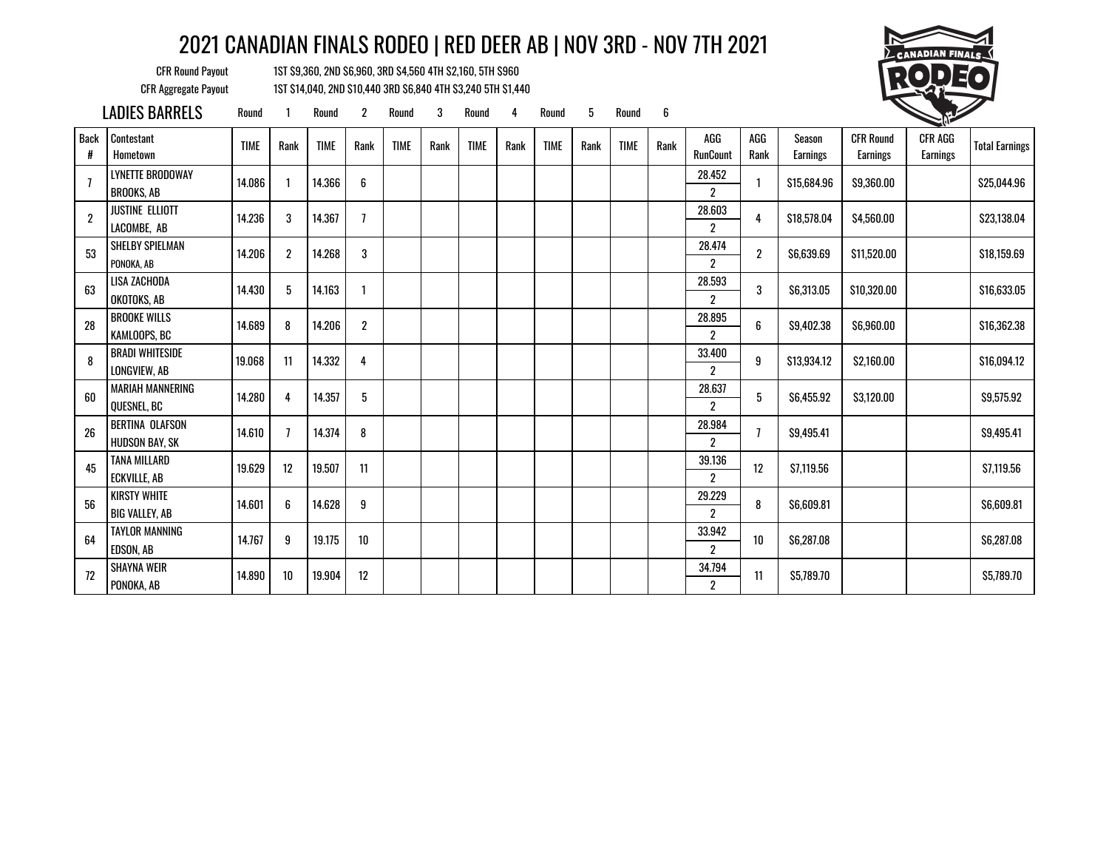CFR Round Payout 1ST \$9,360, 2ND \$6,960, 3RD \$4,560 4TH \$2,160, 5TH \$960 CFR Aggregate Payout 1ST \$14,040, 2ND \$10,440 3RD \$6,840 4TH \$3,240 5TH \$1,440

PONOKA, AB 2



Earnings Total Earnings

\$25,044.96

\$23,138.04

\$16,633.05

\$16,362.38

\$16,094.12

|                  | LADIES BARRELS                                  | Round       |                | Round       | $\overline{2}$ | Round       | 3    | Round       | 4    | Round       | 5    | Round       | 6    |                                |                  |                           |                              | <b>CONTROLLER</b>          |                      |
|------------------|-------------------------------------------------|-------------|----------------|-------------|----------------|-------------|------|-------------|------|-------------|------|-------------|------|--------------------------------|------------------|---------------------------|------------------------------|----------------------------|----------------------|
| <b>Back</b><br># | Contestant<br>Hometown                          | <b>TIME</b> | Rank           | <b>TIME</b> | Rank           | <b>TIME</b> | Rank | <b>TIME</b> | Rank | <b>TIME</b> | Rank | <b>TIME</b> | Rank | AGG<br><b>RunCount</b>         | AGG<br>Rank      | Season<br><b>Earnings</b> | <b>CFR Round</b><br>Earnings | <b>CFR AGG</b><br>Earnings | <b>Total Earning</b> |
|                  | <b>LYNETTE BRODOWAY</b><br><b>BROOKS, AB</b>    | 14.086      |                | 14.366      | 6              |             |      |             |      |             |      |             |      | 28.452<br>$\overline{2}$       | 1                | \$15,684.96               | \$9,360.00                   |                            | \$25,044.96          |
| $\overline{2}$   | <b>JUSTINE ELLIOTT</b><br>LACOMBE. AB           | 14.236      | 3              | 14.367      | $\overline{1}$ |             |      |             |      |             |      |             |      | 28.603<br>$\overline{2}$       | 4                | \$18,578,04               | \$4.560.00                   |                            | \$23,138,04          |
| 53               | <b>SHELBY SPIELMAN</b><br>PONOKA, AB            | 14.206      | $\overline{2}$ | 14.268      | 3              |             |      |             |      |             |      |             |      | 28.474<br>$\overline{2}$       | $\boldsymbol{2}$ | \$6,639.69                | \$11,520.00                  |                            | \$18,159.69          |
| 63               | LISA ZACHODA<br>OKOTOKS, AB                     | 14.430      | 5              | 14.163      |                |             |      |             |      |             |      |             |      | 28.593<br>$\overline{c}$       | 3                | \$6,313.05                | \$10,320.00                  |                            | \$16,633.05          |
| 28               | <b>BROOKE WILLS</b><br>KAMLOOPS, BC             | 14.689      | 8              | 14.206      | $\overline{2}$ |             |      |             |      |             |      |             |      | 28.895<br>$\overline{2}$       | 6                | \$9,402.38                | \$6,960.00                   |                            | \$16,362.38          |
| 8                | <b>BRADI WHITESIDE</b><br>LONGVIEW, AB          | 19.068      | 11             | 14.332      | 4              |             |      |             |      |             |      |             |      | 33.400<br>$\mathbf{2}^{\circ}$ | 9                | \$13,934.12               | \$2,160.00                   |                            | \$16,094.12          |
| 60               | <b>MARIAH MANNERING</b><br><b>OUESNEL, BC</b>   | 14.280      | 4              | 14.357      | 5              |             |      |             |      |             |      |             |      | 28.637<br>$\mathbf{2}^{\circ}$ | 5                | \$6.455.92                | \$3,120.00                   |                            | \$9,575.92           |
| 26               | <b>BERTINA OLAFSON</b><br><b>HUDSON BAY, SK</b> | 14.610      |                | 14.374      | 8              |             |      |             |      |             |      |             |      | 28.984<br>$\boldsymbol{2}$     | $\overline{1}$   | \$9,495.41                |                              |                            | \$9,495.41           |
| 45               | <b>TANA MILLARD</b><br><b>ECKVILLE, AB</b>      | 19.629      | 12             | 19.507      | 11             |             |      |             |      |             |      |             |      | 39.136<br>$\boldsymbol{2}$     | 12               | \$7,119.56                |                              |                            | \$7,119.56           |
| 56               | <b>KIRSTY WHITE</b><br><b>BIG VALLEY, AB</b>    | 14.601      | 6              | 14.628      | 9              |             |      |             |      |             |      |             |      | 29.229<br>$\overline{2}$       | 8                | \$6,609.81                |                              |                            | \$6,609.81           |
| 64               | <b>TAYLOR MANNING</b><br>EDSON, AB              | 14.767      | 9              | 19.175      | 10             |             |      |             |      |             |      |             |      | 33.942<br>$\overline{2}$       | 10               | \$6,287.08                |                              |                            | \$6,287.08           |
| 72               | <b>SHAYNA WEIR</b><br>                          | 14.890      | 10             | 19.904      | 12             |             |      |             |      |             |      |             |      | 34.794                         | 11               | \$5,789.70                |                              |                            | \$5,789.70           |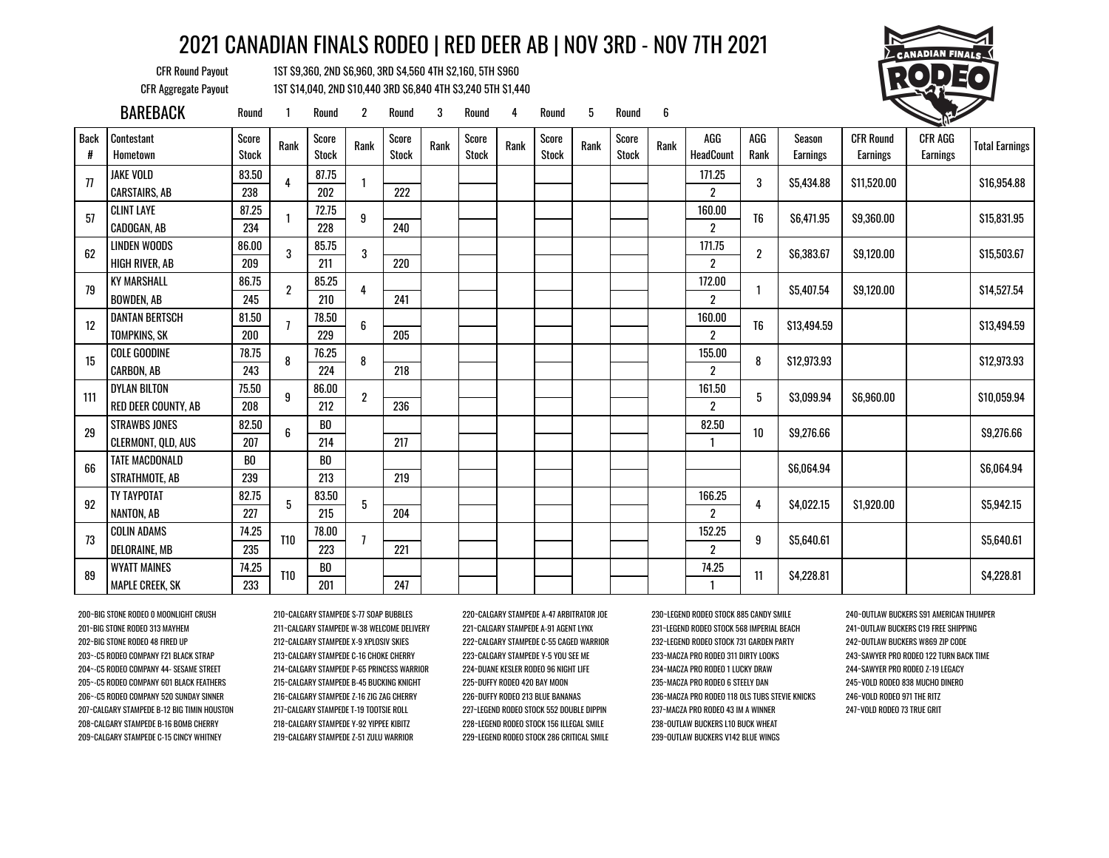CFR Round Payout 1ST \$9,360, 2ND \$6,960, 3RD \$4,560 4TH \$2,160, 5TH \$960 CFR Aggregate Payout 1ST \$14,040, 2ND \$10,440 3RD \$6,840 4TH \$3,240 5TH \$1,440



|             | <b>BAREBACK</b>            | Round                 |                | Round                 | 2              | Round                 | 3    | Round                 | 4    | Round                 | 5    | Round                 | 6    |                  |                |                           |                                     | <b>CONTRACTOR</b>                 |                       |
|-------------|----------------------------|-----------------------|----------------|-----------------------|----------------|-----------------------|------|-----------------------|------|-----------------------|------|-----------------------|------|------------------|----------------|---------------------------|-------------------------------------|-----------------------------------|-----------------------|
| <b>Back</b> | Contestant<br>Hometown     | Score<br><b>Stock</b> | Rank           | Score<br><b>Stock</b> | Rank           | Score<br><b>Stock</b> | Rank | Score<br><b>Stock</b> | Rank | Score<br><b>Stock</b> | Rank | Score<br><b>Stock</b> | Rank | AGG<br>HeadCount | AGG<br>Rank    | <b>Season</b><br>Earnings | <b>CFR Round</b><br><b>Earnings</b> | <b>CFR AGG</b><br><b>Earnings</b> | <b>Total Earnings</b> |
| 77          | <b>JAKE VOLD</b>           | 83.50                 |                | 87.75                 |                |                       |      |                       |      |                       |      |                       |      | 171.25           | 3              | \$5,434.88                | \$11,520.00                         |                                   | \$16,954.88           |
|             | <b>CARSTAIRS, AB</b>       | 238                   |                | 202                   |                | 222                   |      |                       |      |                       |      |                       |      | $\overline{2}$   |                |                           |                                     |                                   |                       |
| 57          | <b>CLINT LAYE</b>          | 87.25                 |                | 72.75                 | 9              |                       |      |                       |      |                       |      |                       |      | 160.00           | T <sub>6</sub> | \$6,471.95                | \$9,360.00                          |                                   | \$15,831.95           |
|             | CADOGAN, AB                | 234                   |                | 228                   |                | 240                   |      |                       |      |                       |      |                       |      | $\overline{2}$   |                |                           |                                     |                                   |                       |
| 62          | <b>LINDEN WOODS</b>        | 86.00                 | 3              | 85.75                 | 3              |                       |      |                       |      |                       |      |                       |      | 171.75           | $\overline{2}$ | \$6,383.67                | \$9,120.00                          |                                   | \$15,503.67           |
|             | <b>HIGH RIVER, AB</b>      | 209                   |                | 211                   |                | 220                   |      |                       |      |                       |      |                       |      | 2                |                |                           |                                     |                                   |                       |
| 79          | <b>KY MARSHALL</b>         | 86.75                 | $\overline{2}$ | 85.25                 |                |                       |      |                       |      |                       |      |                       |      | 172.00           |                | \$5.407.54                | \$9.120.00                          |                                   | \$14,527.54           |
|             | <b>BOWDEN, AB</b>          | 245                   |                | 210                   |                | 241                   |      |                       |      |                       |      |                       |      | $\overline{2}$   |                |                           |                                     |                                   |                       |
| 12          | <b>DANTAN BERTSCH</b>      | 81.50                 |                | 78.50                 | 6              |                       |      |                       |      |                       |      |                       |      | 160.00           | T <sub>6</sub> | \$13,494.59               |                                     |                                   | \$13,494.59           |
|             | TOMPKINS, SK               | 200                   |                | 229                   |                | 205                   |      |                       |      |                       |      |                       |      | 2                |                |                           |                                     |                                   |                       |
| 15          | COLE GOODINE               | 78.75                 | 8              | 76.25                 | 8              |                       |      |                       |      |                       |      |                       |      | 155.00           | 8              | \$12,973,93               |                                     |                                   | \$12,973,93           |
|             | <b>CARBON, AB</b>          | 243                   |                | 224                   |                | 218                   |      |                       |      |                       |      |                       |      | $\overline{2}$   |                |                           |                                     |                                   |                       |
| 111         | <b>DYLAN BILTON</b>        | 75.50                 | 9              | 86.00                 | $\overline{2}$ |                       |      |                       |      |                       |      |                       |      | 161.50           | 5              | \$3,099.94                | \$6,960.00                          |                                   | \$10,059.94           |
|             | <b>RED DEER COUNTY, AB</b> | 208                   |                | 212                   |                | 236                   |      |                       |      |                       |      |                       |      | $\overline{c}$   |                |                           |                                     |                                   |                       |
| 29          | <b>STRAWBS JONES</b>       | 82.50                 |                | BO                    |                |                       |      |                       |      |                       |      |                       |      | 82.50            | 10             | \$9,276.66                |                                     |                                   | \$9,276.66            |
|             | CLERMONT, QLD, AUS         | 207                   |                | 214                   |                | 217                   |      |                       |      |                       |      |                       |      | $\mathbf{1}$     |                |                           |                                     |                                   |                       |
| 66          | <b>TATE MACDONALD</b>      | B <sub>0</sub>        |                | B <sub>0</sub>        |                |                       |      |                       |      |                       |      |                       |      |                  |                | \$6,064.94                |                                     |                                   | \$6,064.94            |
|             | STRATHMOTE, AB             | 239                   |                | 213                   |                | 219                   |      |                       |      |                       |      |                       |      |                  |                |                           |                                     |                                   |                       |
| 92          | TY TAYPOTAT                | 82.75                 | 5              | 83.50                 | 5              |                       |      |                       |      |                       |      |                       |      | 166.25           | 4              | \$4,022.15                | \$1,920.00                          |                                   | \$5,942.15            |
|             | NANTON, AB                 | 227                   |                | 215                   |                | 204                   |      |                       |      |                       |      |                       |      | $\overline{c}$   |                |                           |                                     |                                   |                       |
| 73          | <b>COLIN ADAMS</b>         | 74.25                 | <b>T10</b>     | 78.00                 |                |                       |      |                       |      |                       |      |                       |      | 152.25           | 9              | \$5,640.61                |                                     |                                   | \$5,640.61            |
|             | <b>DELORAINE, MB</b>       | 235                   |                | 223                   |                | 221                   |      |                       |      |                       |      |                       |      | 2                |                |                           |                                     |                                   |                       |
| 89          | <b>WYATT MAINES</b>        | 74.25                 | <b>T10</b>     | BO                    |                |                       |      |                       |      |                       |      |                       |      | 74.25            | 11             |                           |                                     |                                   |                       |
|             | <b>MAPLE CREEK, SK</b>     | 233                   |                | 201                   |                | 247                   |      |                       |      |                       |      |                       |      |                  |                | \$4,228.81                |                                     |                                   | \$4,228.81            |

208~CALGARY STAMPEDE B-16 BOMB CHERRY 218~CALGARY STAMPEDE Y-92 YIPPEE KIBITZ 228~LEGEND RODEO STOCK 156 ILLEGAL SMILE 238~OUTLAW BUCKERS L10 BUCK WHEAT 209~CALGARY STAMPEDE C-15 CINCY WHITNEY 219~CALGARY STAMPEDE Z-51 ZULU WARRIOR 229~LEGEND RODEO STOCK 286 CRITICAL SMILE 239~OUTLAW BUCKERS V142 BLUE WINGS

200~BIG STONE RODEO 0 MOONLIGHT CRUSH 210~CALGARY STAMPEDE S-77 SOAP BUBBLES 220~CALGARY STAMPEDE A-47 ARBITRATOR JOE 230~LEGEND RODEO STOCK 885 CANDY SMILE 240~OUTLAW BUCKERS S91 AMERICAN THUMPER 201~BIG STONE RODEO 313 MAYHEM 211~CALGARY STAMPEDE W-38 WELCOME DELIVERY 221~CALGARY STAMPEDE A-91 AGENT LYNX 231~LEGEND RODEO STOCK 568 IMPERIAL BEACH 241~OUTLAW BUCKERS C19 FREE SHIPPING 202~BIG STONE RODEO 48 FIRED UP 212~CALGARY STAMPEDE X-9 XPLOSIV SKIES 222~CALGARY STAMPEDE C-55 CAGED WARRIOR 232~LEGEND RODEO STOCK 731 GARDEN PARTY 242~OUTLAW BUCKERS W869 ZIP CODE 203~-C5 RODEO COMPANY F21 BLACK STRAP 213~CALGARY STAMPEDE C-16 CHOKE CHERRY 223~CALGARY STAMPEDE Y-5 YOU SEE ME 233~MACZA PRO RODEO 311 DIRTY LOOKS 243~SAWYER PRO RODEO 122 TURN BACK TIME 204~-C5 RODEO COMPANY 44- SESAME STREET 214~CALGARY STAMPEDE P-65 PRINCESS WARRIOR 224~DUANE KESLER RODEO 96 NIGHT LIFE 234~MACZA PRO RODEO 1 LUCKY DRAW 244~SAWYER PRO RODEO Z-19 LEGACY 205~-C5 RODEO COMPANY 601 BLACK FEATHERS 215~CALGARY STAMPEDE B-45 BUCKING KNIGHT 225~DUFFY RODEO 420 BAY MOON 235~MACZA PRO RODEO 6 STEELY DAN 245~VOLD RODEO 838 MUCHO DINERO 206~-C5 RODEO COMPANY 520 SUNDAY SINNER 216~CALGARY STAMPEDE Z-16 ZIG ZAG CHERRY 226~DUFFY RODEO 213 BLUE BANANAS 236~MACZA PRO RODEO 118 OLS TUBS STEVIE KNICKS 246~VOLD RODEO 971 THE RITZ 207~CALGARY STAMPEDE B-12 BIG TIMIN HOUSTON 217~CALGARY STAMPEDE T-19 TOOTSIE ROLL 227~LEGEND RODEO STOCK 552 DOUBLE DIPPIN 237~MACZA PRO RODEO 43 IM A WINNER 247~VOLD RODEO 73 TRUE GRIT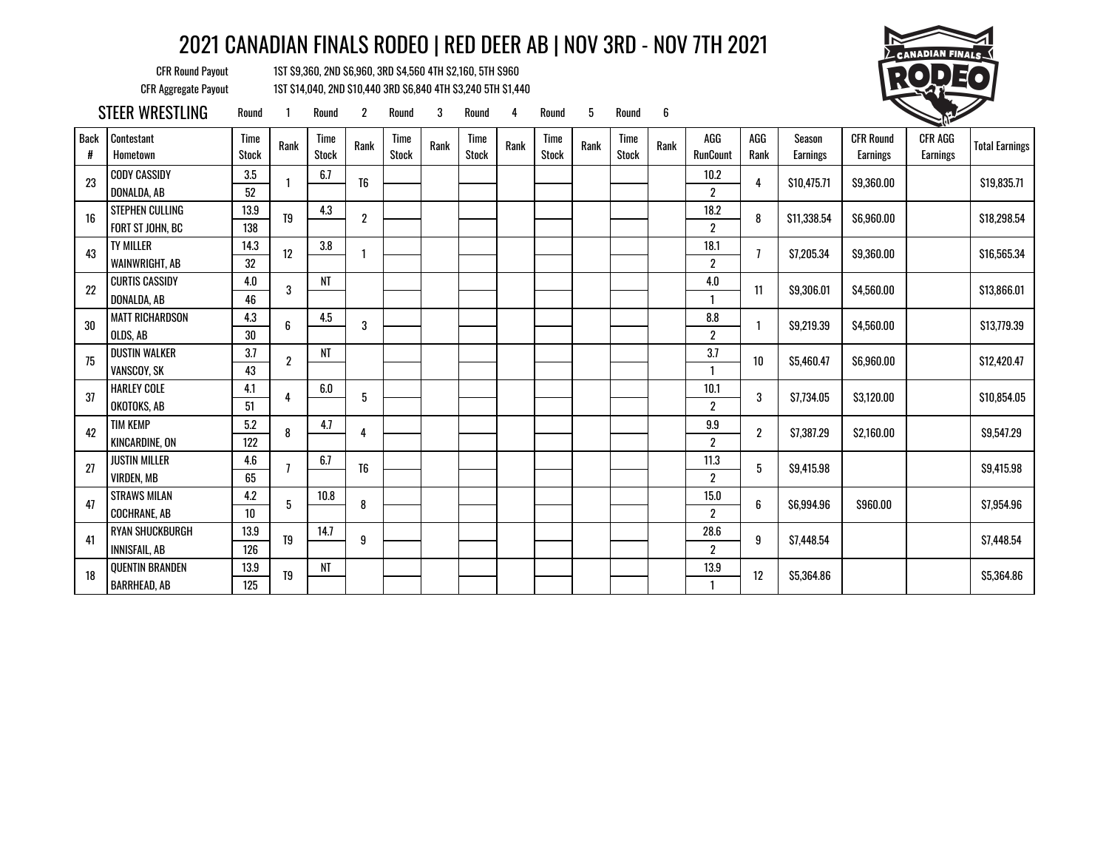CFR Round Payout 1ST \$9,360, 2ND \$6,960, 3RD \$4,560 4TH \$2,160, 5TH \$960 CFR Aggregate Payout 1ST \$14,040, 2ND \$10,440 3RD \$6,840 4TH \$3,240 5TH \$1,440



STEER WRESTLING Round 1 Round 2 Round 3 Round 4 Round 5 Round 6

| Back<br># | Contestant<br>Hometown | Time<br><b>Stock</b> | Rank             | Time<br><b>Stock</b> | Rank             | <b>Time</b><br><b>Stock</b> | Rank | Time<br><b>Stock</b> | Rank | Time<br><b>Stock</b> | Rank | <b>Time</b><br><b>Stock</b> | Rank | AGG<br><b>RunCount</b> | AGG<br>Rank    | Season<br>Earnings | <b>CFR Round</b><br>Earnings | <b>CFR AGG</b><br>Earnings | <b>Total Earnings</b> |
|-----------|------------------------|----------------------|------------------|----------------------|------------------|-----------------------------|------|----------------------|------|----------------------|------|-----------------------------|------|------------------------|----------------|--------------------|------------------------------|----------------------------|-----------------------|
| 23        | <b>CODY CASSIDY</b>    | 3.5                  |                  | 6.7                  | T <sub>6</sub>   |                             |      |                      |      |                      |      |                             |      | 10.2                   | 4              | \$10,475.71        | \$9,360.00                   |                            | \$19,835.71           |
|           | DONALDA, AB            | 52                   |                  |                      |                  |                             |      |                      |      |                      |      |                             |      | $\boldsymbol{2}$       |                |                    |                              |                            |                       |
| 16        | <b>STEPHEN CULLING</b> | 13.9                 | T <sub>9</sub>   | 4.3                  | $\boldsymbol{2}$ |                             |      |                      |      |                      |      |                             |      | 18.2                   | 8              | \$11,338,54        | \$6,960.00                   |                            | \$18,298.54           |
|           | FORT ST JOHN, BC       | 138                  |                  |                      |                  |                             |      |                      |      |                      |      |                             |      | $\overline{2}$         |                |                    |                              |                            |                       |
| 43        | <b>TY MILLER</b>       | 14.3                 | 12               | $3.8\,$              |                  |                             |      |                      |      |                      |      |                             |      | 18.1                   |                | \$7,205.34         | \$9,360.00                   |                            | \$16,565.34           |
|           | WAINWRIGHT, AB         | 32                   |                  |                      |                  |                             |      |                      |      |                      |      |                             |      | $\boldsymbol{2}$       |                |                    |                              |                            |                       |
| 22        | <b>CURTIS CASSIDY</b>  | 4.0                  | 3                | NT                   |                  |                             |      |                      |      |                      |      |                             |      | 4.0                    | 11             | \$9,306.01         | \$4,560,00                   |                            | \$13,866.01           |
|           | DONALDA, AB            | 46                   |                  |                      |                  |                             |      |                      |      |                      |      |                             |      | $\mathbf{1}$           |                |                    |                              |                            |                       |
| 30        | <b>MATT RICHARDSON</b> | 4.3                  | 6                | 4.5                  | 3                |                             |      |                      |      |                      |      |                             |      | $\pmb{8.8}$            |                | \$9.219.39         | \$4,560.00                   |                            | \$13,779.39           |
|           | OLDS, AB               | 30                   |                  |                      |                  |                             |      |                      |      |                      |      |                             |      | $\overline{2}$         |                |                    |                              |                            |                       |
| 75        | <b>DUSTIN WALKER</b>   | 3.7                  | $\boldsymbol{2}$ | NT                   |                  |                             |      |                      |      |                      |      |                             |      | 3.7                    | 10             | \$5,460.47         | \$6,960.00                   |                            | \$12,420.47           |
|           | VANSCOY, SK            | 43                   |                  |                      |                  |                             |      |                      |      |                      |      |                             |      |                        |                |                    |                              |                            |                       |
| 37        | <b>HARLEY COLE</b>     | 4.1                  | 4                | 6.0                  | 5                |                             |      |                      |      |                      |      |                             |      | 10.1                   | 3              | \$7,734.05         | \$3,120.00                   |                            | \$10,854.05           |
|           | OKOTOKS, AB            | 51                   |                  |                      |                  |                             |      |                      |      |                      |      |                             |      | $\overline{2}$         |                |                    |                              |                            |                       |
| 42        | <b>TIM KEMP</b>        | 5.2                  | 8                | 4.7                  | 4                |                             |      |                      |      |                      |      |                             |      | 9.9                    | $\overline{2}$ | \$7,387.29         | \$2,160.00                   |                            | \$9,547.29            |
|           | <b>KINCARDINE, ON</b>  | 122                  |                  |                      |                  |                             |      |                      |      |                      |      |                             |      | $\boldsymbol{2}$       |                |                    |                              |                            |                       |
| 27        | <b>JUSTIN MILLER</b>   | 4.6                  |                  | 6.7                  | T <sub>6</sub>   |                             |      |                      |      |                      |      |                             |      | 11.3                   | 5              | \$9,415.98         |                              |                            | \$9,415.98            |
|           | <b>VIRDEN, MB</b>      | 65                   |                  |                      |                  |                             |      |                      |      |                      |      |                             |      | $\boldsymbol{2}$       |                |                    |                              |                            |                       |
| 47        | <b>STRAWS MILAN</b>    | 4.2                  | 5                | 10.8                 | 8                |                             |      |                      |      |                      |      |                             |      | 15.0                   | 6              | \$6,994.96         | \$960.00                     |                            | \$7,954.96            |
|           | <b>COCHRANE, AB</b>    | $10\,$               |                  |                      |                  |                             |      |                      |      |                      |      |                             |      | $\boldsymbol{2}$       |                |                    |                              |                            |                       |
| 41        | <b>RYAN SHUCKBURGH</b> | 13.9                 | T <sub>9</sub>   | 14.7                 | 9                |                             |      |                      |      |                      |      |                             |      | 28.6                   | 9              | \$7,448.54         |                              |                            | \$7,448.54            |
|           | <b>INNISFAIL, AB</b>   | 126                  |                  |                      |                  |                             |      |                      |      |                      |      |                             |      | $\overline{2}$         |                |                    |                              |                            |                       |
| 18        | <b>QUENTIN BRANDEN</b> | 13.9                 | T <sub>9</sub>   | NT                   |                  |                             |      |                      |      |                      |      |                             |      | 13.9                   |                |                    |                              |                            |                       |
|           | <b>BARRHEAD, AB</b>    | 125                  |                  |                      |                  |                             |      |                      |      |                      |      |                             |      | 1                      | 12             | \$5,364.86         |                              |                            | \$5,364.86            |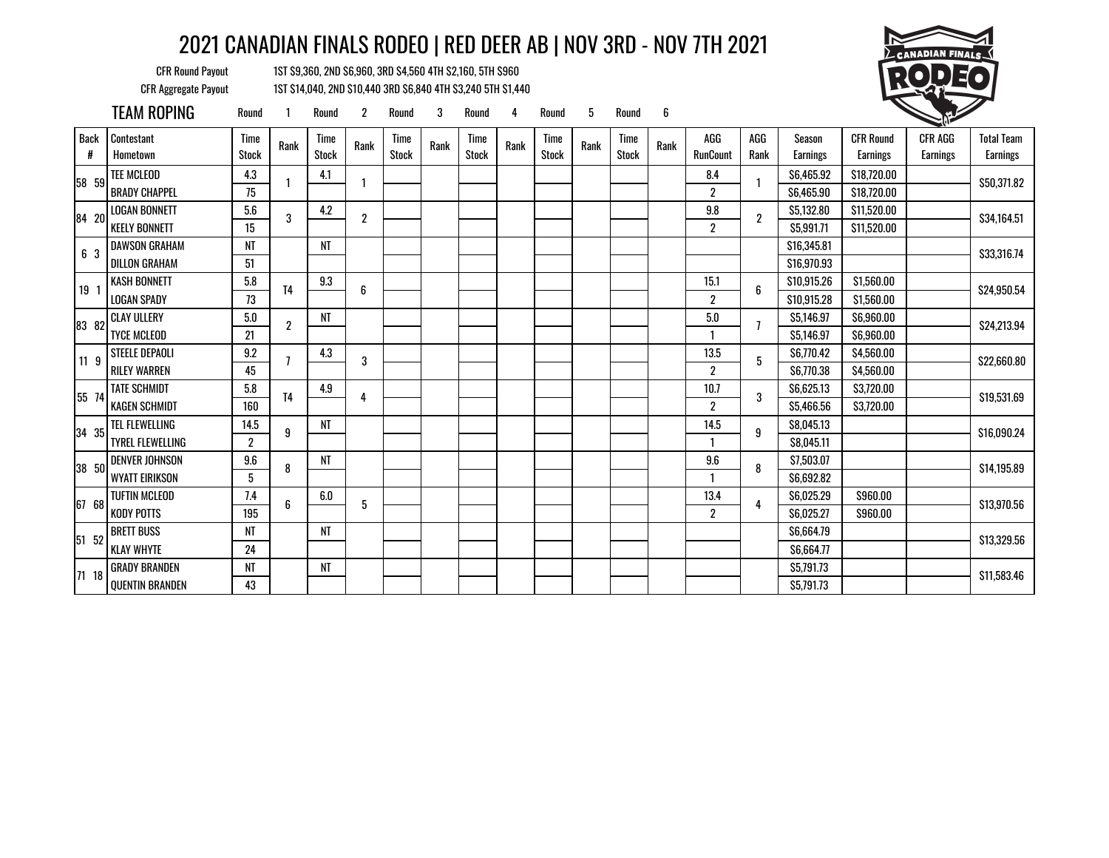CFR Round Payout 1ST \$9,360, 2ND \$6,960, 3RD \$4,560 4TH \$2,160, 5TH \$960 CFR Aggregate Payout 1ST \$14,040, 2ND \$10,440 3RD \$6,840 4TH \$3,240 5TH \$1,440



|                  | TEAM ROPING             | Round                   |                | Round                | $\overline{2}$   | Round                | 3    | Round                | 4    | Round         | 5    | Round                | 6    |                        |                |                    |                              |                     |                               |
|------------------|-------------------------|-------------------------|----------------|----------------------|------------------|----------------------|------|----------------------|------|---------------|------|----------------------|------|------------------------|----------------|--------------------|------------------------------|---------------------|-------------------------------|
| <b>Back</b><br># | Contestant<br>Hometown  | Time<br><b>Stock</b>    | Rank           | Time<br><b>Stock</b> | Rank             | Time<br><b>Stock</b> | Rank | Time<br><b>Stock</b> | Rank | Time<br>Stock | Rank | Time<br><b>Stock</b> | Rank | AGG<br><b>RunCount</b> | AGG<br>Rank    | Season<br>Earnings | <b>CFR Round</b><br>Earnings | CFR AGG<br>Earnings | <b>Total Team</b><br>Earnings |
| 58 59            | <b>TEE MCLEOD</b>       | 4.3                     |                | 4.1                  |                  |                      |      |                      |      |               |      |                      |      | 8.4                    | 1              | \$6,465.92         | \$18,720.00                  |                     | \$50,371.82                   |
|                  | <b>BRADY CHAPPEL</b>    | 75                      |                |                      |                  |                      |      |                      |      |               |      |                      |      | $\overline{2}$         |                | \$6,465,90         | \$18,720.00                  |                     |                               |
| 84 20            | <b>LOGAN BONNETT</b>    | 5.6                     | 3              | 4.2                  | $\boldsymbol{2}$ |                      |      |                      |      |               |      |                      |      | 9.8                    | $\overline{2}$ | \$5,132.80         | \$11,520.00                  |                     | \$34,164.51                   |
|                  | <b>KEELY BONNETT</b>    | 15                      |                |                      |                  |                      |      |                      |      |               |      |                      |      | $\overline{2}$         |                | \$5,991.71         | \$11,520.00                  |                     |                               |
| 6 3              | DAWSON GRAHAM           | NT                      |                | NT                   |                  |                      |      |                      |      |               |      |                      |      |                        |                | \$16,345.81        |                              |                     | \$33,316.74                   |
|                  | <b>DILLON GRAHAM</b>    | 51                      |                |                      |                  |                      |      |                      |      |               |      |                      |      |                        |                | \$16,970.93        |                              |                     |                               |
| 19 <sub>1</sub>  | <b>KASH BONNETT</b>     | 5.8                     | T <sub>4</sub> | 9.3                  | 6                |                      |      |                      |      |               |      |                      |      | 15.1                   | 6              | \$10,915.26        | \$1,560.00                   |                     | \$24,950.54                   |
|                  | <b>LOGAN SPADY</b>      | 73                      |                |                      |                  |                      |      |                      |      |               |      |                      |      | $\overline{2}$         |                | \$10,915.28        | \$1,560.00                   |                     |                               |
| 83 82            | <b>CLAY ULLERY</b>      | 5.0                     | $\overline{2}$ | NT                   |                  |                      |      |                      |      |               |      |                      |      | $5.0\,$                | $\overline{1}$ | \$5,146.97         | \$6,960.00                   |                     | \$24,213.94                   |
|                  | <b>TYCE MCLEOD</b>      | 21                      |                |                      |                  |                      |      |                      |      |               |      |                      |      |                        |                | \$5,146.97         | \$6,960.00                   |                     |                               |
| 11 <sub>9</sub>  | <b>STEELE DEPAOLI</b>   | 9.2                     |                | 4.3                  | 3                |                      |      |                      |      |               |      |                      |      | 13.5                   | 5              | \$6,770.42         | \$4,560.00                   |                     | \$22,660.80                   |
|                  | <b>RILEY WARREN</b>     | 45                      |                |                      |                  |                      |      |                      |      |               |      |                      |      | $\overline{2}$         |                | \$6,770.38         | \$4,560.00                   |                     |                               |
| 55 74            | <b>TATE SCHMIDT</b>     | 5.8                     | T <sub>4</sub> | 4.9                  | 4                |                      |      |                      |      |               |      |                      |      | 10.7                   | 3              | \$6,625.13         | \$3,720.00                   |                     | \$19,531.69                   |
|                  | <b>KAGEN SCHMIDT</b>    | 160                     |                |                      |                  |                      |      |                      |      |               |      |                      |      | $\overline{2}$         |                | \$5,466.56         | \$3,720.00                   |                     |                               |
| 34 35            | TEL FLEWELLING          | 14.5                    | 9              | NT                   |                  |                      |      |                      |      |               |      |                      |      | 14.5                   | 9              | \$8,045.13         |                              |                     | \$16,090.24                   |
|                  | <b>TYREL FLEWELLING</b> | $\overline{\mathbf{2}}$ |                |                      |                  |                      |      |                      |      |               |      |                      |      | 1                      |                | S8.045.11          |                              |                     |                               |
| 38 50            | <b>DENVER JOHNSON</b>   | 9.6                     | 8              | NT                   |                  |                      |      |                      |      |               |      |                      |      | 9.6                    | 8              | \$7,503.07         |                              |                     | \$14,195.89                   |
|                  | WYATT EIRIKSON          | 5                       |                |                      |                  |                      |      |                      |      |               |      |                      |      |                        |                | \$6,692.82         |                              |                     |                               |
| 67 68            | <b>TUFTIN MCLEOD</b>    | 7.4                     | 6              | 6.0                  | 5                |                      |      |                      |      |               |      |                      |      | 13.4                   | 4              | \$6,025.29         | \$960.00                     |                     | \$13,970.56                   |
|                  | <b>KODY POTTS</b>       | 195                     |                |                      |                  |                      |      |                      |      |               |      |                      |      | $\overline{2}$         |                | \$6.025.27         | \$960.00                     |                     |                               |
| 51 52            | <b>BRETT BUSS</b>       | NT                      |                | NT                   |                  |                      |      |                      |      |               |      |                      |      |                        |                | \$6,664.79         |                              |                     | \$13,329.56                   |
|                  | <b>KLAY WHYTE</b>       | 24                      |                |                      |                  |                      |      |                      |      |               |      |                      |      |                        |                | \$6,664.77         |                              |                     |                               |
| 71 18            | <b>GRADY BRANDEN</b>    | NT                      |                | NT                   |                  |                      |      |                      |      |               |      |                      |      |                        |                | \$5,791.73         |                              |                     | \$11,583.46                   |
|                  | <b>QUENTIN BRANDEN</b>  | 43                      |                |                      |                  |                      |      |                      |      |               |      |                      |      |                        |                | \$5,791.73         |                              |                     |                               |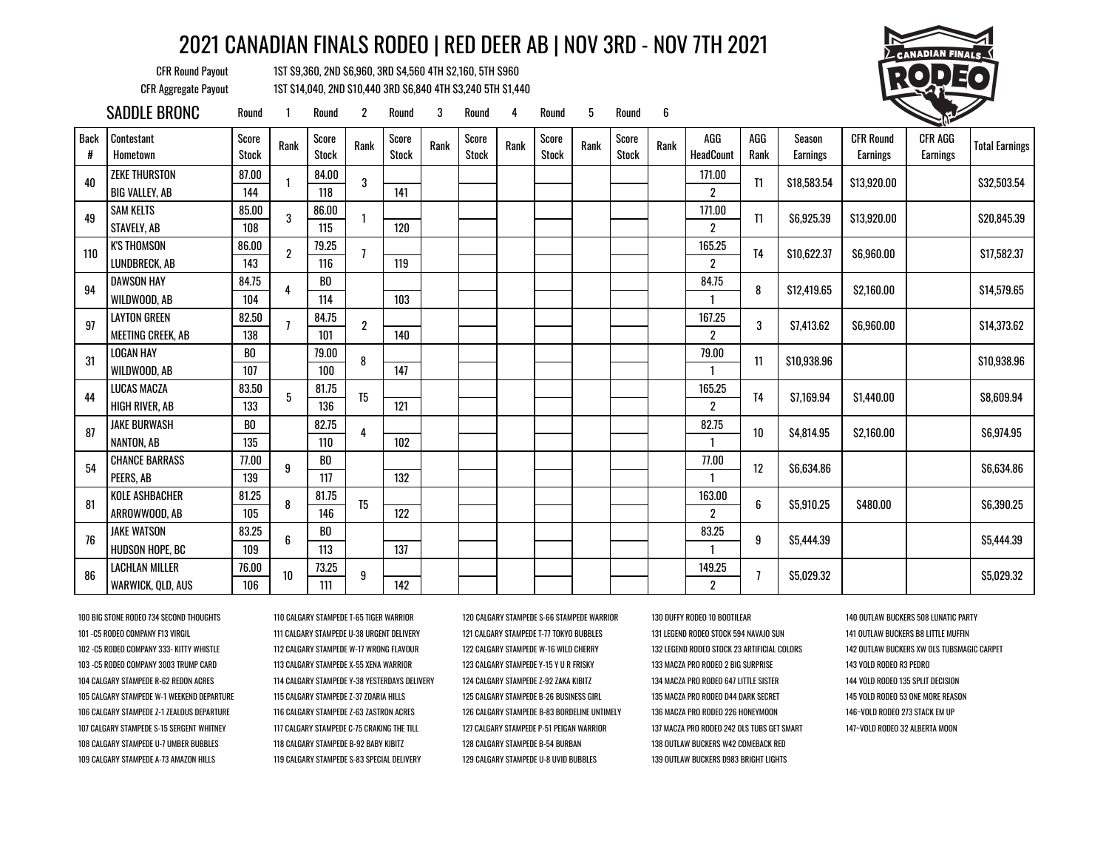CFR Round Payout 1ST \$9,360, 2ND \$6,960, 3RD \$4,560 4TH \$2,160, 5TH \$960 CFR Aggregate Payout 1ST \$14,040, 2ND \$10,440 3RD \$6,840 4TH \$3,240 5TH \$1,440



|                  | SADDLE BRONC                                  | Round                 |      | Round                 | $\overline{2}$   | Round                 | 3    | Round                 | 4    | Round                 | 5    | Round                 | 6    |                                |                |                    |                                     |                            |                       |
|------------------|-----------------------------------------------|-----------------------|------|-----------------------|------------------|-----------------------|------|-----------------------|------|-----------------------|------|-----------------------|------|--------------------------------|----------------|--------------------|-------------------------------------|----------------------------|-----------------------|
| <b>Back</b><br># | Contestant<br>Hometown                        | Score<br><b>Stock</b> | Rank | Score<br><b>Stock</b> | Rank             | Score<br><b>Stock</b> | Rank | Score<br><b>Stock</b> | Rank | Score<br><b>Stock</b> | Rank | Score<br><b>Stock</b> | Rank | AGG<br><b>HeadCount</b>        | AGG<br>Rank    | Season<br>Earnings | <b>CFR Round</b><br><b>Earnings</b> | CFR AGG<br><b>Earnings</b> | <b>Total Earnings</b> |
| 40               | <b>ZEKE THURSTON</b><br><b>BIG VALLEY, AB</b> | 87.00<br>144          |      | 84.00<br>118          | 3                | 141                   |      |                       |      |                       |      |                       |      | 171.00<br>$\overline{2}$       | T1             | \$18,583.54        | \$13,920.00                         |                            | \$32,503.54           |
| 49               | <b>SAM KELTS</b><br>STAVELY, AB               | 85.00<br>108          | 3    | 86.00<br>115          |                  | 120                   |      |                       |      |                       |      |                       |      | 171.00<br>$\overline{2}$       | T1             | \$6,925.39         | \$13,920.00                         |                            | \$20,845.39           |
| 110              | <b>K'S THOMSON</b><br>LUNDBRECK, AB           | 86.00<br>143          | 2    | 79.25<br>116          |                  | 119                   |      |                       |      |                       |      |                       |      | 165.25<br>$\overline{2}$       | T <sub>4</sub> | \$10,622.37        | \$6,960.00                          |                            | \$17,582.37           |
| 94               | DAWSON HAY<br>WILDWOOD, AB                    | 84.75<br>104          |      | BO<br>114             |                  | 103                   |      |                       |      |                       |      |                       |      | 84.75                          | 8              | \$12,419.65        | \$2,160.00                          |                            | \$14,579.65           |
| 97               | LAYTON GREEN<br>MEETING CREEK, AB             | 82.50<br>138          |      | 84.75<br>101          | $\boldsymbol{2}$ | 140                   |      |                       |      |                       |      |                       |      | 167.25<br>$\mathbf{2}^{\circ}$ | 3              | S7.413.62          | \$6,960.00                          |                            | \$14,373.62           |
| 31               | <b>LOGAN HAY</b><br>WILDWOOD, AB              | BO<br>107             |      | 79.00<br>100          | 8                | 147                   |      |                       |      |                       |      |                       |      | 79.00<br>$\mathbf{1}$          | 11             | \$10,938.96        |                                     |                            | \$10,938.96           |
| 44               | LUCAS MACZA<br>HIGH RIVER. AB                 | 83.50<br>133          | 5    | 81.75<br>136          | T <sub>5</sub>   | 121                   |      |                       |      |                       |      |                       |      | 165.25<br>$\overline{2}$       | T4             | \$7,169.94         | \$1,440.00                          |                            | \$8,609.94            |
| 87               | <b>JAKE BURWASH</b><br>NANTON, AB             | B <sub>0</sub><br>135 |      | 82.75<br>110          |                  | 102                   |      |                       |      |                       |      |                       |      | 82.75                          | 10             | \$4,814.95         | \$2,160.00                          |                            | \$6,974.95            |
| 54               | <b>CHANCE BARRASS</b><br>PEERS, AB            | 77.00<br>139          | 9    | BO<br>117             |                  | 132                   |      |                       |      |                       |      |                       |      | 77.00                          | 12             | \$6,634.86         |                                     |                            | \$6,634.86            |
| 81               | <b>KOLE ASHBACHER</b><br>ARROWWOOD, AB        | 81.25<br>105          | 8    | 81.75<br>146          | T <sub>5</sub>   | 122                   |      |                       |      |                       |      |                       |      | 163.00<br>$\overline{2}$       | 6              | \$5,910.25         | \$480.00                            |                            | \$6,390.25            |
| 76               | <b>JAKE WATSON</b><br>HUDSON HOPE, BC         | 83.25<br>109          | 6    | BO<br>113             |                  | 137                   |      |                       |      |                       |      |                       |      | 83.25                          | 9              | \$5,444.39         |                                     |                            | \$5,444.39            |
| 86               | <b>LACHLAN MILLER</b><br>WARWICK, QLD, AUS    | 76.00<br>106          | 10   | 73.25<br>111          | 9                | 142                   |      |                       |      |                       |      |                       |      | 149.25<br>$\overline{2}$       |                | \$5,029.32         |                                     |                            | \$5,029.32            |

100 BIG STONE RODEO 734 SECOND THOUGHTS 110 CALGARY STAMPEDE T-65 TIGER WARRIOR 120 CALGARY STAMPEDE S-66 STAMPEDE WARRIOR 130 DUFFY RODEO 10 BOOTILEAR 140 OUTLAW BUCKERS 508 LUNATIC PARTY 101 -C5 RODEO COMPANY F13 VIRGIL 111 CALGARY STAMPEDE U-38 URGENT DELIVERY 121 CALGARY STAMPEDE T-77 TOKYO BUBBLES 131 LEGEND RODEO STOCK 594 NAVAJO SUN 141 OUTLAW BUCKERS B8 LITTLE MUFFIN 102 -C5 RODEO COMPANY 333- KITTY WHISTLE 112 CALGARY STAMPEDE W-17 WRONG FLAVOUR 122 CALGARY STAMPEDE W-16 WILD CHERRY 132 LEGEND RODEO STOCK 23 ARTIFICIAL COLORS 142 OUTLAW BUCKERS XW OLS TUBSMAGIC CARPET 103 -C5 RODEO COMPANY 3003 TRUMP CARD 113 CALGARY STAMPEDE X-55 XENA WARRIOR 123 CALGARY STAMPEDE Y-15 Y U R FRISKY 133 MACZA PRO RODEO 2 BIG SURPRISE 143 VOLD RODEO R3 PEDRO 104 CALGARY STAMPEDE R-62 REDON ACRES 114 CALGARY STAMPEDE Y-38 YESTERDAYS DELIVERY 124 CALGARY STAMPEDE Z-92 ZAKA KIBITZ 134 MACZA PRO RODEO 647 LITTLE SISTER 144 VOLD RODEO 135 SPLIT DECISION 105 CALGARY STAMPEDE W-1 WEEKEND DEPARTURE 115 CALGARY STAMPEDE Z-37 ZOARIA HILLS 125 CALGARY STAMPEDE B-26 BUSINESS GIRL 135 MACZA PRO RODEO D44 DARK SECRET 145 VOLD RODEO 53 ONE MORE REASON 106 CALGARY STAMPEDE Z-1 ZEALOUS DEPARTURE 116 CALGARY STAMPEDE Z-63 ZASTRON ACRES 226 CALGARY STAMPEDE B-83 BORDELINE UNTIMELY 136 MACZA PRO RODEO 226 HONEYMOON 146-VOLD RODEO 273 STACK EM UP 107 CALGARY STAMPEDE S-15 SERGENT WHITNEY 117 CALGARY STAMPEDE C-75 CRAKING THE TILL 127 CALGARY STAMPEDE P-51 PEIGAN WARRIOR 137 MACZA PRO RODEO 242 OLS TUBS GET SMART 147~VOLD RODEO 32 ALBERTA MOON 108 CALGARY STAMPEDE U-7 UMBER BUBBLES 118 CALGARY STAMPEDE B-92 BABY KIBITZ 128 CALGARY STAMPEDE B-54 BURBAN 138 OUTLAW BUCKERS W42 COMEBACK RED 109 CALGARY STAMPEDE A-73 AMAZON HILLS 119 CALGARY STAMPEDE S-83 SPECIAL DELIVERY 129 CALGARY STAMPEDE U-8 UVID BUBBLES 139 OUTLAW BUCKERS D983 BRIGHT LIGHTS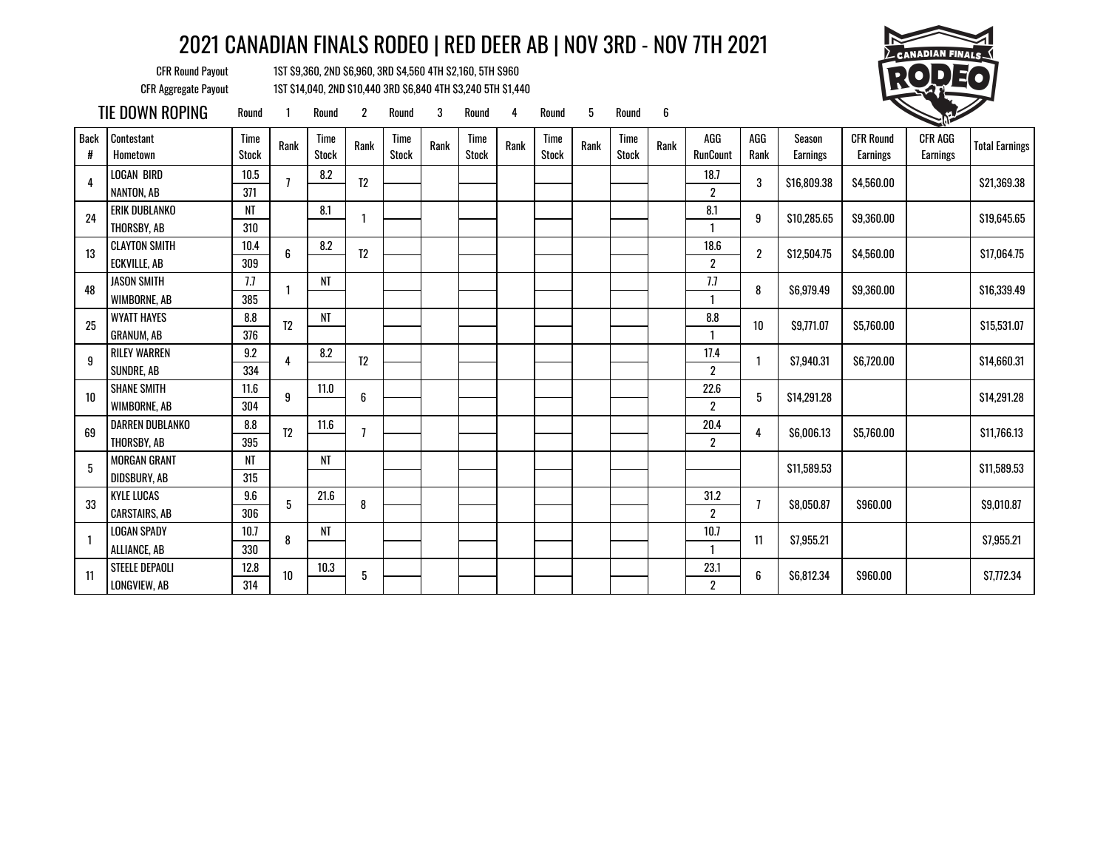CFR Round Payout 1ST \$9,360, 2ND \$6,960, 3RD \$4,560 4TH \$2,160, 5TH \$960 CFR Aggregate Payout 1ST \$14,040, 2ND \$10,440 3RD \$6,840 4TH \$3,240 5TH \$1,440



TIE DOWN ROPING Round <sup>1</sup> Round <sup>2</sup> Round <sup>3</sup> Round <sup>4</sup> Round <sup>5</sup> Round <sup>6</sup> <sup>1</sup>

| <b>Back</b><br># | Contestant<br>Hometown | Time<br><b>Stock</b> | Rank           | <b>Time</b><br><b>Stock</b> | Rank           | Time<br><b>Stock</b> | Rank | Time<br><b>Stock</b> | Rank | Time<br>Stock | Rank | Time<br><b>Stock</b> | Rank | AGG<br>RunCount  | AGG<br>Rank    | Season<br><b>Earnings</b> | <b>CFR Round</b><br>Earnings | <b>CFR AGG</b><br>Earnings | <b>Total Earnings</b> |
|------------------|------------------------|----------------------|----------------|-----------------------------|----------------|----------------------|------|----------------------|------|---------------|------|----------------------|------|------------------|----------------|---------------------------|------------------------------|----------------------------|-----------------------|
| 4                | <b>LOGAN BIRD</b>      | 10.5                 | $\overline{1}$ | 8.2                         | T <sub>2</sub> |                      |      |                      |      |               |      |                      |      | 18.7             | 3              | \$16,809.38               | \$4,560.00                   |                            | \$21,369.38           |
|                  | NANTON, AB             | 371                  |                |                             |                |                      |      |                      |      |               |      |                      |      | $\boldsymbol{2}$ |                |                           |                              |                            |                       |
| 24               | <b>ERIK DUBLANKO</b>   | NT                   |                | 8.1                         |                |                      |      |                      |      |               |      |                      |      | 8.1              | 9              | \$10,285.65               | \$9,360.00                   |                            | \$19,645.65           |
|                  | THORSBY, AB            | 310                  |                |                             |                |                      |      |                      |      |               |      |                      |      |                  |                |                           |                              |                            |                       |
| 13               | <b>CLAYTON SMITH</b>   | 10.4                 | 6              | 8.2                         | T <sub>2</sub> |                      |      |                      |      |               |      |                      |      | 18.6             | $\overline{2}$ | \$12,504.75               | \$4,560.00                   |                            | \$17,064.75           |
|                  | <b>ECKVILLE, AB</b>    | 309                  |                |                             |                |                      |      |                      |      |               |      |                      |      | $\overline{2}$   |                |                           |                              |                            |                       |
| 48               | <b>JASON SMITH</b>     | 7.7                  |                | NT                          |                |                      |      |                      |      |               |      |                      |      | 7.7              | 8              | \$6,979.49                | \$9,360.00                   |                            | \$16,339.49           |
|                  | WIMBORNE, AB           | 385                  |                |                             |                |                      |      |                      |      |               |      |                      |      |                  |                |                           |                              |                            |                       |
| 25               | <b>WYATT HAYES</b>     | 8.8                  | T <sub>2</sub> | <b>NT</b>                   |                |                      |      |                      |      |               |      |                      |      | 8.8              | 10             | \$9,771.07                | \$5,760.00                   |                            | \$15,531.07           |
|                  | <b>GRANUM, AB</b>      | 376                  |                |                             |                |                      |      |                      |      |               |      |                      |      |                  |                |                           |                              |                            |                       |
| 9                | <b>RILEY WARREN</b>    | 9.2                  | 4              | 8.2                         | T <sub>2</sub> |                      |      |                      |      |               |      |                      |      | 17.4             |                | \$7,940.31                | \$6,720.00                   |                            | \$14,660.31           |
|                  | SUNDRE, AB             | 334                  |                |                             |                |                      |      |                      |      |               |      |                      |      | $\boldsymbol{2}$ |                |                           |                              |                            |                       |
| 10               | <b>SHANE SMITH</b>     | 11.6                 | 9              | 11.0                        | 6              |                      |      |                      |      |               |      |                      |      | 22.6             | 5              | \$14,291.28               |                              |                            | \$14,291.28           |
|                  | WIMBORNE, AB           | 304                  |                |                             |                |                      |      |                      |      |               |      |                      |      | $\boldsymbol{2}$ |                |                           |                              |                            |                       |
| 69               | DARREN DUBLANKO        | 8.8                  | T <sub>2</sub> | 11.6                        | 7              |                      |      |                      |      |               |      |                      |      | 20.4             | 4              | \$6,006.13                | \$5,760.00                   |                            | \$11,766.13           |
|                  | THORSBY, AB            | 395                  |                |                             |                |                      |      |                      |      |               |      |                      |      | $\overline{2}$   |                |                           |                              |                            |                       |
| 5                | <b>MORGAN GRANT</b>    | NT                   |                | <b>NT</b>                   |                |                      |      |                      |      |               |      |                      |      |                  |                | \$11,589.53               |                              |                            | \$11,589.53           |
|                  | DIDSBURY, AB           | 315                  |                |                             |                |                      |      |                      |      |               |      |                      |      |                  |                |                           |                              |                            |                       |
| 33               | <b>KYLE LUCAS</b>      | 9.6                  | 5              | 21.6                        | 8              |                      |      |                      |      |               |      |                      |      | 31.2             |                | \$8,050.87                | \$960.00                     |                            | \$9,010.87            |
|                  | <b>CARSTAIRS, AB</b>   | 306                  |                |                             |                |                      |      |                      |      |               |      |                      |      | $\boldsymbol{2}$ |                |                           |                              |                            |                       |
|                  | <b>LOGAN SPADY</b>     | 10.7                 | 8              | NT                          |                |                      |      |                      |      |               |      |                      |      | 10.7             | 11             | \$7,955.21                |                              |                            | \$7,955.21            |
|                  | ALLIANCE, AB           | 330                  |                |                             |                |                      |      |                      |      |               |      |                      |      | $\mathbf{1}$     |                |                           |                              |                            |                       |
| 11               | STEELE DEPAOLI         | 12.8                 | $10$           | 10.3                        | 5              |                      |      |                      |      |               |      |                      |      | 23.1             | 6              | \$6,812.34                | \$960.00                     |                            | \$7,772.34            |
|                  | LONGVIEW, AB           | 314                  |                |                             |                |                      |      |                      |      |               |      |                      |      | $\boldsymbol{2}$ |                |                           |                              |                            |                       |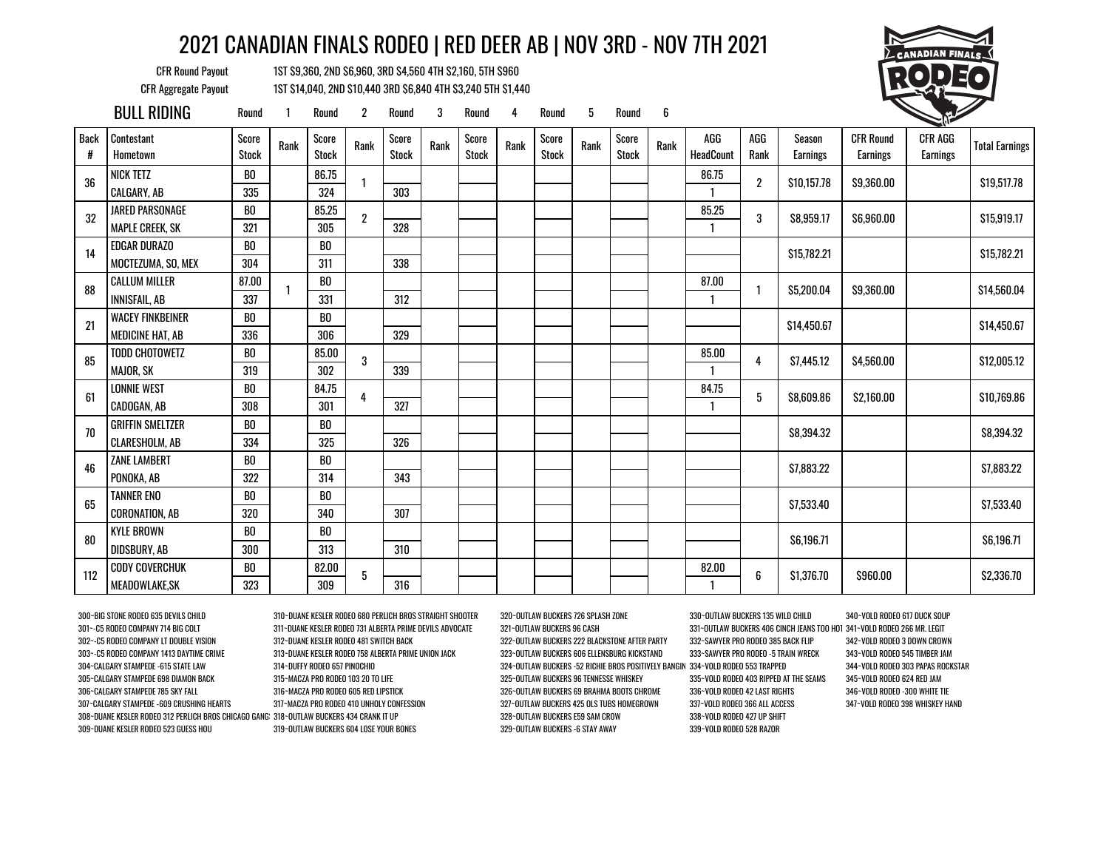CFR Round Payout 1ST \$9,360, 2ND \$6,960, 3RD \$4,560 4TH \$2,160, 5TH \$960 CFR Aggregate Payout 1ST \$14,040, 2ND \$10,440 3RD \$6,840 4TH \$3,240 5TH \$1,440



|                  | <b>BULL RIDING</b>      | Round                 |      | Round                 | $\overline{2}$ | Round          | 3    | Round                 | 4    | Round                 | 5    | Round                 | 6    |                  |             |                    |                                     |                            |                       |
|------------------|-------------------------|-----------------------|------|-----------------------|----------------|----------------|------|-----------------------|------|-----------------------|------|-----------------------|------|------------------|-------------|--------------------|-------------------------------------|----------------------------|-----------------------|
| <b>Back</b><br># | Contestant<br>Hometown  | Score<br><b>Stock</b> | Rank | Score<br><b>Stock</b> | Rank           | Score<br>Stock | Rank | Score<br><b>Stock</b> | Rank | Score<br><b>Stock</b> | Rank | Score<br><b>Stock</b> | Rank | AGG<br>HeadCount | AGG<br>Rank | Season<br>Earnings | <b>CFR Round</b><br><b>Earnings</b> | CFR AGG<br><b>Earnings</b> | <b>Total Earnings</b> |
| 36               | <b>NICK TETZ</b>        | BO                    |      | 86.75                 |                |                |      |                       |      |                       |      |                       |      | 86.75            | 2           | \$10,157.78        | \$9,360.00                          |                            | \$19,517.78           |
|                  | CALGARY, AB             | 335                   |      | 324                   |                | 303            |      |                       |      |                       |      |                       |      |                  |             |                    |                                     |                            |                       |
| 32               | <b>JARED PARSONAGE</b>  | BO                    |      | 85.25                 | $\overline{2}$ |                |      |                       |      |                       |      |                       |      | 85.25            | 3           | \$8,959.17         | \$6,960.00                          |                            | \$15,919.17           |
|                  | <b>MAPLE CREEK, SK</b>  | 321                   |      | 305                   |                | 328            |      |                       |      |                       |      |                       |      | 1                |             |                    |                                     |                            |                       |
| 14               | <b>EDGAR DURAZO</b>     | B <sub>0</sub>        |      | B <sub>0</sub>        |                |                |      |                       |      |                       |      |                       |      |                  |             | \$15,782.21        |                                     |                            | \$15,782.21           |
|                  | MOCTEZUMA, SO, MEX      | 304                   |      | 311                   |                | 338            |      |                       |      |                       |      |                       |      |                  |             |                    |                                     |                            |                       |
| 88               | <b>CALLUM MILLER</b>    | 87.00                 |      | BO                    |                |                |      |                       |      |                       |      |                       |      | 87.00            |             | \$5,200.04         | \$9,360.00                          |                            | \$14,560.04           |
|                  | <b>INNISFAIL, AB</b>    | 337                   |      | 331                   |                | 312            |      |                       |      |                       |      |                       |      | 1                |             |                    |                                     |                            |                       |
| 21               | <b>WACEY FINKBEINER</b> | BO                    |      | B <sub>0</sub>        |                |                |      |                       |      |                       |      |                       |      |                  |             | \$14,450.67        |                                     |                            | \$14,450.67           |
|                  | MEDICINE HAT, AB        | 336                   |      | 306                   |                | 329            |      |                       |      |                       |      |                       |      |                  |             |                    |                                     |                            |                       |
| 85               | <b>TODD CHOTOWETZ</b>   | BO                    |      | 85.00                 | 3              |                |      |                       |      |                       |      |                       |      | 85.00            | 4           | S7.445.12          | \$4,560.00                          |                            | \$12,005.12           |
|                  | MAJOR, SK               | 319                   |      | 302                   |                | 339            |      |                       |      |                       |      |                       |      | 1                |             |                    |                                     |                            |                       |
| 61               | <b>LONNIE WEST</b>      | B <sub>0</sub>        |      | 84.75                 | 4              |                |      |                       |      |                       |      |                       |      | 84.75            | 5           | \$8,609.86         | \$2,160.00                          |                            | \$10,769.86           |
|                  | CADOGAN, AB             | 308                   |      | 301                   |                | 327            |      |                       |      |                       |      |                       |      |                  |             |                    |                                     |                            |                       |
| 70               | <b>GRIFFIN SMELTZER</b> | B <sub>0</sub>        |      | B <sub>0</sub>        |                |                |      |                       |      |                       |      |                       |      |                  |             | \$8,394.32         |                                     |                            | \$8,394.32            |
|                  | <b>CLARESHOLM, AB</b>   | 334                   |      | 325                   |                | 326            |      |                       |      |                       |      |                       |      |                  |             |                    |                                     |                            |                       |
| 46               | <b>ZANE LAMBERT</b>     | B <sub>0</sub>        |      | B <sub>0</sub>        |                |                |      |                       |      |                       |      |                       |      |                  |             | \$7.883.22         |                                     |                            | \$7,883.22            |
|                  | PONOKA, AB              | 322                   |      | 314                   |                | 343            |      |                       |      |                       |      |                       |      |                  |             |                    |                                     |                            |                       |
| 65               | <b>TANNER ENO</b>       | B <sub>0</sub>        |      | B <sub>0</sub>        |                |                |      |                       |      |                       |      |                       |      |                  |             | \$7,533.40         |                                     |                            | \$7,533.40            |
|                  | <b>CORONATION, AB</b>   | 320                   |      | 340                   |                | 307            |      |                       |      |                       |      |                       |      |                  |             |                    |                                     |                            |                       |
| 80               | <b>KYLE BROWN</b>       | B <sub>0</sub>        |      | B <sub>0</sub>        |                |                |      |                       |      |                       |      |                       |      |                  |             | \$6,196.71         |                                     |                            | \$6,196.71            |
|                  | DIDSBURY, AB            | 300                   |      | 313                   |                | 310            |      |                       |      |                       |      |                       |      |                  |             |                    |                                     |                            |                       |
| 112              | <b>CODY COVERCHUK</b>   | BO                    |      | 82.00                 | 5              |                |      |                       |      |                       |      |                       |      | 82.00            | 6           | \$1,376.70         | \$960.00                            |                            | \$2,336.70            |
|                  | MEADOWLAKE, SK          | 323                   |      | 309                   |                | 316            |      |                       |      |                       |      |                       |      |                  |             |                    |                                     |                            |                       |

300~BIG STONE RODEO 635 DEVILS CHILD 310~DUANE KESLER RODEO 680 PERLICH BROS STRAIGHT SHOOTER 320~OUTLAW BUCKERS 726 SPLASH ZONE 330~OUTLAW BUCKERS 135 WILD CHILD 340~VOLD RODEO 617 DUCK SOUP 301~-C5 RODEO COMPANY 714 BIG COLT 311~DUANE KESLER RODEO 731 ALBERTA PRIME DEVILS ADVOCATE 321~OUTLAW BUCKERS 96 CASH 331~OUTLAW BUCKERS 406 CINCH JEANS TOO HOT 341~VOLD RODEO 266 MR. LEGIT 302~-C5 RODEO COMPANY LT DOUBLE VISION 312~DUANE KESLER RODEO 481 SWITCH BACK 322~OUTLAW BUCKERS 222 BLACKSTONE AFTER PARTY 332~SAWYER PRO RODEO 385 BACK FLIP 342~VOLD RODEO 3 DOWN CROWN 303~-C5 RODEO COMPANY 1413 DAYTIME CRIME 313~DUANE KESLER RODEO 758 ALBERTA PRIME UNION JACK 323~OUTLAW BUCKERS 606 ELLENSBURG KICKSTAND 333~SAWYER PRO RODEO -5 TRAIN WRECK 343~VOLD RODEO 545 TIMBER JAM 304~CALGARY STAMPEDE -615 STATE LAW 314~DUFFY RODEO 657 PINOCHIO 324~OUTLAW BUCKERS -52 RICHIE BROS POSITIVELY BANGIN 334~VOLD RODEO 553 TRAPPED 344~VOLD RODEO 303 PAPAS ROCKSTAR 305~CALGARY STAMPEDE 698 DIAMON BACK 315~MACZA PRO RODEO 103 20 TO LIFE 325~OUTLAW BUCKERS 96 TENNESSE WHISKEY 335~VOLD RODEO 403 RIPPED AT THE SEAMS 345~VOLD RODEO 624 RED JAM 306~CALGARY STAMPEDE 785 SKY FALL 316~MACZA PRO RODEO 605 RED LIPSTICK 326~OUTLAW BUCKERS 69 BRAHMA BOOTS CHROME 336~VOLD RODEO 42 LAST RIGHTS 346~VOLD RODEO -300 WHITE TIE 307~CALGARY STAMPEDE -609 CRUSHING HEARTS 317~MACZA PRO RODEO 410 UNHOLY CONFESSION 327~OUTLAW BUCKERS 425 OLS TUBS HOMEGROWN 337~VOLD RODEO 366 ALL ACCESS 347~VOLD RODEO 398 WHISKEY HAND 308~DUANE KESLER RODEO 312 PERLICH BROS CHICAGO GANGSTER 318~OUTLAW BUCKERS 434 CRANK IT UP 328~OUTLAW BUCKERS E59 SAM CROW 338~VOLD RODEO 427 UP SHIFT 309~DUANE KESLER RODEO 523 GUESS HOU 319~OUTLAW BUCKERS 604 LOSE YOUR BONES 329~OUTLAW BUCKERS -6 STAY AWAY 339~VOLD RODEO 528 RAZOR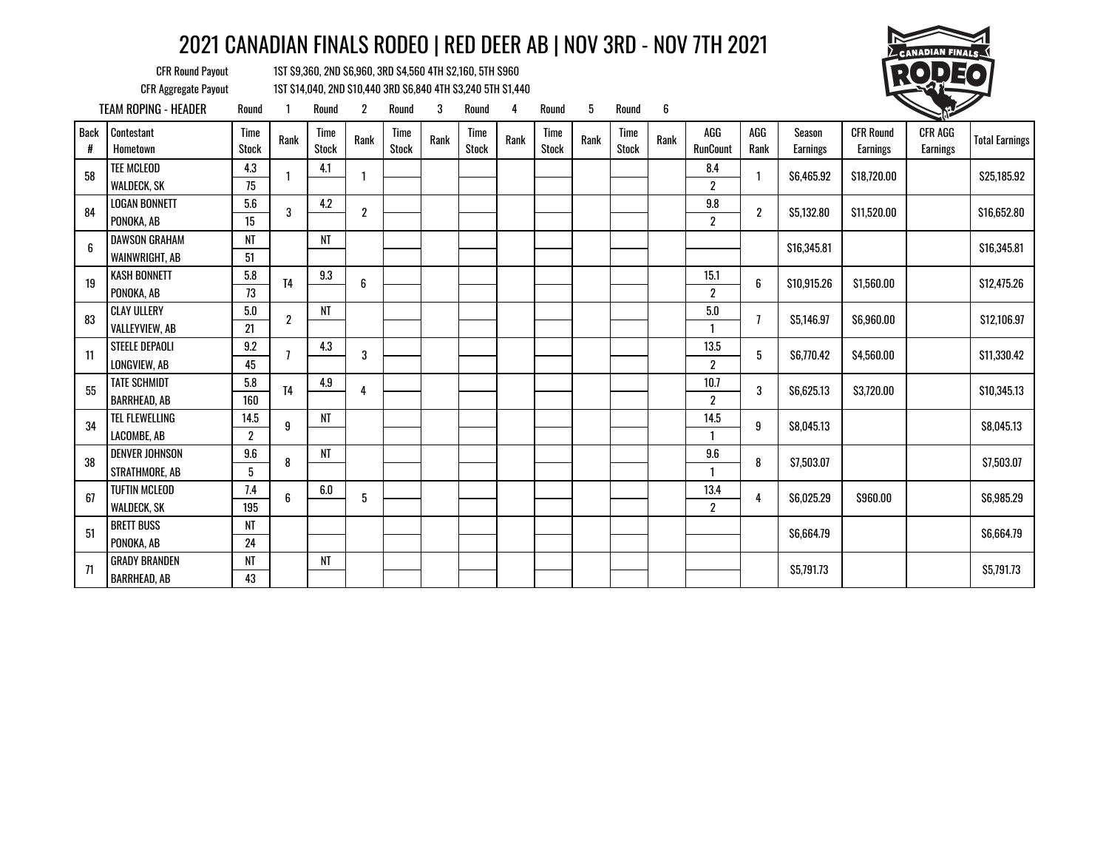

CFR Round Payout 1ST \$9,360, 2ND \$6,960, 3RD \$4,560 4TH \$2,160, 5TH \$960

CFR Aggregate Payout 1ST \$14,040, 2ND \$10,440 3RD \$6,840 4TH \$3,240 5TH \$1,440 TEAM ROPING - HEADER Round 1 Round 2 Round 3 Round 4 Round 5 Round 6 1

| Back<br># | Contestant<br>Hometown                      | Time<br><b>Stock</b>     | Rank             | Time<br><b>Stock</b> | Rank             | Time<br><b>Stock</b> | Rank | Time<br><b>Stock</b> | Rank | Time<br><b>Stock</b> | Rank | Time<br>Stock | Rank | AGG<br><b>RunCount</b>      | AGG<br>Rank    | Season<br><b>Earnings</b> | <b>CFR Round</b><br><b>Earnings</b> | <b>CFR AGG</b><br><b>Earnings</b> | <b>Total Earnings</b> |
|-----------|---------------------------------------------|--------------------------|------------------|----------------------|------------------|----------------------|------|----------------------|------|----------------------|------|---------------|------|-----------------------------|----------------|---------------------------|-------------------------------------|-----------------------------------|-----------------------|
| 58        | TEE MCLEOD<br><b>WALDECK, SK</b>            | 4.3<br>75                |                  | 4.1                  |                  |                      |      |                      |      |                      |      |               |      | 8.4<br>$\overline{2}$       |                | \$6,465.92                | \$18,720.00                         |                                   | \$25,185.92           |
| 84        | <b>LOGAN BONNETT</b><br>PONOKA, AB          | 5.6<br>15                | 3                | 4.2                  | $\boldsymbol{2}$ |                      |      |                      |      |                      |      |               |      | $9.8\,$<br>$\boldsymbol{2}$ | $\overline{2}$ | \$5,132.80                | \$11,520.00                         |                                   | \$16,652.80           |
| 6         | <b>DAWSON GRAHAM</b><br>WAINWRIGHT, AB      | NT<br>51                 |                  | NT                   |                  |                      |      |                      |      |                      |      |               |      |                             |                | \$16,345.81               |                                     |                                   | \$16,345.81           |
| 19        | <b>KASH BONNETT</b><br>PONOKA, AB           | $5.8\,$<br>73            | <b>T4</b>        | 9.3                  | 6                |                      |      |                      |      |                      |      |               |      | 15.1<br>$\boldsymbol{2}$    | 6              | \$10,915.26               | \$1,560.00                          |                                   | \$12,475.26           |
| 83        | <b>CLAY ULLERY</b><br>VALLEYVIEW, AB        | 5.0<br>21                | $\boldsymbol{2}$ | <b>NT</b>            |                  |                      |      |                      |      |                      |      |               |      | 5.0                         |                | \$5,146.97                | \$6,960.00                          |                                   | \$12,106.97           |
| 11        | <b>STEELE DEPAOLI</b><br>LONGVIEW, AB       | 9.2<br>45                |                  | 4.3                  | 3                |                      |      |                      |      |                      |      |               |      | 13.5<br>$\overline{2}$      | 5              | \$6,770.42                | \$4,560.00                          |                                   | \$11,330.42           |
| 55        | <b>TATE SCHMIDT</b><br><b>BARRHEAD, AB</b>  | 5.8<br>160               | T <sub>4</sub>   | 4.9                  | 4                |                      |      |                      |      |                      |      |               |      | 10.7<br>$\boldsymbol{2}$    | 3              | \$6,625.13                | \$3,720.00                          |                                   | \$10,345.13           |
| 34        | TEL FLEWELLING<br>LACOMBE, AB               | 14.5<br>$\boldsymbol{2}$ | 9                | NT                   |                  |                      |      |                      |      |                      |      |               |      | 14.5                        | 9              | \$8,045.13                |                                     |                                   | \$8,045.13            |
| 38        | <b>DENVER JOHNSON</b><br>STRATHMORE, AB     | 9.6<br>5                 | 8                | <b>NT</b>            |                  |                      |      |                      |      |                      |      |               |      | 9.6                         | 8              | \$7,503.07                |                                     |                                   | \$7,503.07            |
| 67        | <b>TUFTIN MCLEOD</b><br>WALDECK, SK         | 7.4<br>195               | 6                | 6.0                  | 5                |                      |      |                      |      |                      |      |               |      | 13.4<br>$\overline{2}$      | 4              | \$6,025.29                | \$960.00                            |                                   | \$6,985.29            |
| 51        | <b>BRETT BUSS</b><br>PONOKA, AB             | NT<br>24                 |                  |                      |                  |                      |      |                      |      |                      |      |               |      |                             |                | \$6,664.79                |                                     |                                   | \$6,664.79            |
| 71        | <b>GRADY BRANDEN</b><br><b>BARRHEAD, AB</b> | NT<br>43                 |                  | NT                   |                  |                      |      |                      |      |                      |      |               |      |                             |                | \$5,791.73                |                                     |                                   | \$5,791.73            |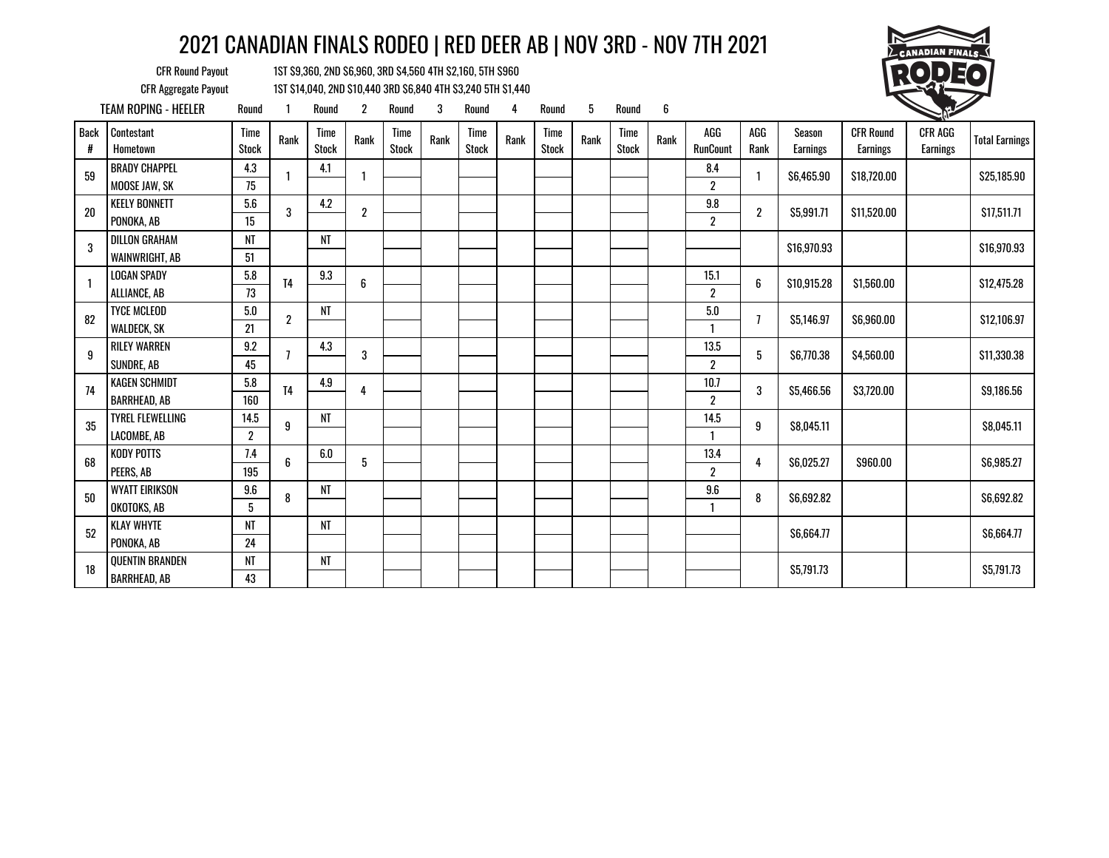

CFR Round Payout 1ST \$9,360, 2ND \$6,960, 3RD \$4,560 4TH \$2,160, 5TH \$960

CFR Aggregate Payout 1ST \$14,040, 2ND \$10,440 3RD \$6,840 4TH \$3,240 5TH \$1,440 TEAM ROPING - HEELER Round 1 Round 2 Round 3 Round 4 Round 5 Round 6 1

|                  |                                             |                        |                  |                      |                |                             |      |                      |      |               |      |                      |      |                          |             |                           |                              | - 1                        |                       |
|------------------|---------------------------------------------|------------------------|------------------|----------------------|----------------|-----------------------------|------|----------------------|------|---------------|------|----------------------|------|--------------------------|-------------|---------------------------|------------------------------|----------------------------|-----------------------|
| <b>Back</b><br># | Contestant<br>Hometown                      | Time<br><b>Stock</b>   | Rank             | Time<br><b>Stock</b> | Rank           | <b>Time</b><br><b>Stock</b> | Rank | Time<br><b>Stock</b> | Rank | Time<br>Stock | Rank | Time<br><b>Stock</b> | Rank | AGG<br><b>RunCount</b>   | AGG<br>Rank | Season<br><b>Earnings</b> | <b>CFR Round</b><br>Earnings | <b>CFR AGG</b><br>Earnings | <b>Total Earnings</b> |
| 59               | <b>BRADY CHAPPEL</b><br>MOOSE JAW, SK       | 4.3<br>75              |                  | 4.1                  | 1              |                             |      |                      |      |               |      |                      |      | 8.4<br>$\boldsymbol{2}$  |             | \$6,465.90                | \$18,720.00                  |                            | \$25,185.90           |
| 20               | <b>KEELY BONNETT</b>                        | 5.6                    | 3                | 4.2                  | $\overline{2}$ |                             |      |                      |      |               |      |                      |      | 9.8                      | 2           | \$5,991.71                | \$11,520.00                  |                            | \$17,511.71           |
|                  | PONOKA, AB                                  | 15                     |                  |                      |                |                             |      |                      |      |               |      |                      |      | $\overline{2}$           |             |                           |                              |                            |                       |
| 3                | <b>DILLON GRAHAM</b><br>WAINWRIGHT, AB      | NT<br>51               |                  | NT                   |                |                             |      |                      |      |               |      |                      |      |                          |             | \$16,970.93               |                              |                            | \$16,970.93           |
|                  | <b>LOGAN SPADY</b><br>ALLIANCE, AB          | 5.8<br>73              | <b>T4</b>        | 9.3                  | 6              |                             |      |                      |      |               |      |                      |      | 15.1<br>$\boldsymbol{2}$ | 6           | \$10,915.28               | \$1,560.00                   |                            | \$12,475.28           |
| 82               | <b>TYCE MCLEOD</b><br>WALDECK, SK           | 5.0<br>21              | $\boldsymbol{2}$ | NT                   |                |                             |      |                      |      |               |      |                      |      | 5.0<br>1                 |             | \$5,146.97                | \$6,960.00                   |                            | \$12,106.97           |
| 9                | <b>RILEY WARREN</b><br>SUNDRE, AB           | 9.2<br>45              |                  | 4.3                  | 3              |                             |      |                      |      |               |      |                      |      | 13.5<br>$\overline{2}$   | 5           | \$6,770.38                | \$4,560.00                   |                            | \$11,330.38           |
| 74               | <b>KAGEN SCHMIDT</b><br><b>BARRHEAD, AB</b> | 5.8<br>160             | T <sub>4</sub>   | 4.9                  | 4              |                             |      |                      |      |               |      |                      |      | 10.7<br>$\boldsymbol{2}$ | 3           | \$5,466.56                | \$3,720.00                   |                            | \$9,186.56            |
| 35               | <b>TYREL FLEWELLING</b><br>LACOMBE, AB      | 14.5<br>$\overline{2}$ | 9                | NT                   |                |                             |      |                      |      |               |      |                      |      | 14.5                     | 9           | \$8,045.11                |                              |                            | \$8,045.11            |
| 68               | <b>KODY POTTS</b><br>PEERS, AB              | 7.4<br>195             | 6                | 6.0                  | 5              |                             |      |                      |      |               |      |                      |      | 13.4<br>$\boldsymbol{2}$ |             | \$6.025.27                | \$960.00                     |                            | \$6,985.27            |
| 50               | <b>WYATT EIRIKSON</b><br>OKOTOKS, AB        | 9.6<br>5               | 8                | <b>NT</b>            |                |                             |      |                      |      |               |      |                      |      | 9.6<br>1                 | 8           | \$6,692.82                |                              |                            | \$6,692.82            |
| 52               | <b>KLAY WHYTE</b><br>PONOKA, AB             | NT<br>24               |                  | NT                   |                |                             |      |                      |      |               |      |                      |      |                          |             | \$6,664.77                |                              |                            | \$6,664.77            |
| 18               | QUENTIN BRANDEN<br><b>BARRHEAD, AB</b>      | <b>NT</b><br>43        |                  | NT                   |                |                             |      |                      |      |               |      |                      |      |                          |             | \$5,791.73                |                              |                            | \$5,791.73            |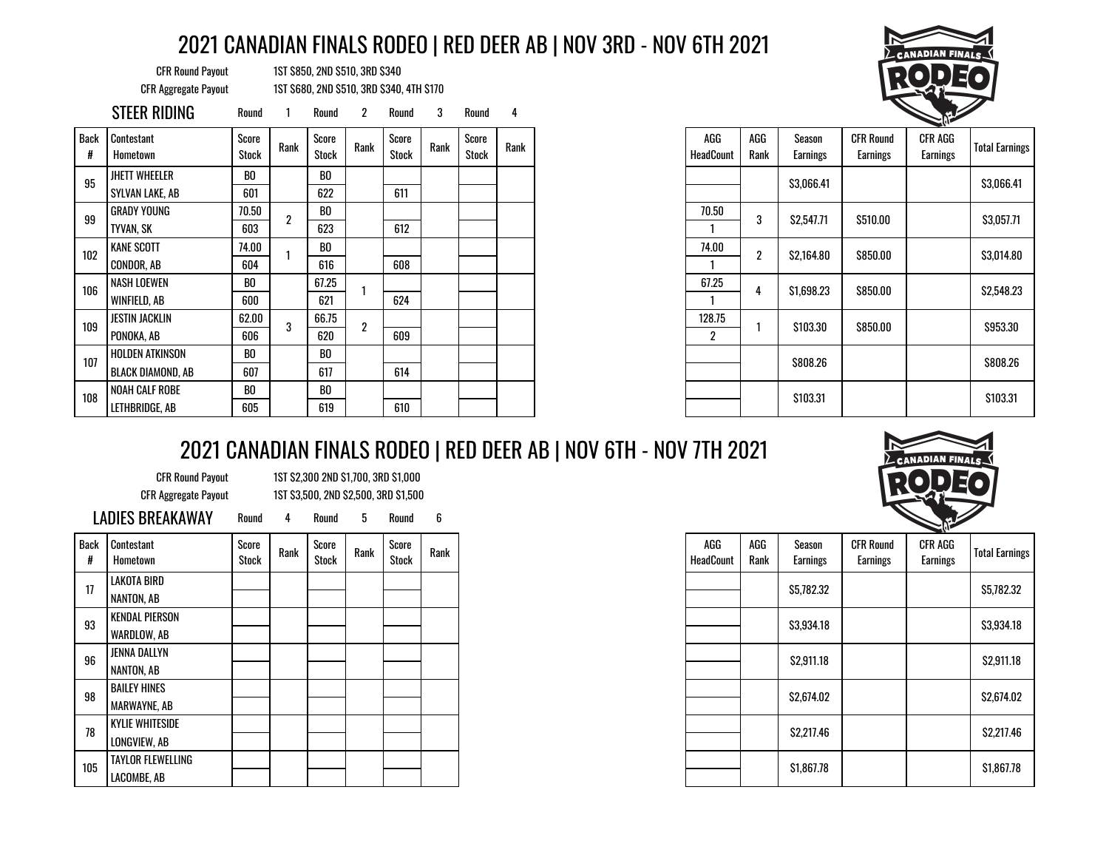CFR Round Payout 1ST \$850, 2ND \$510, 3RD \$340 CFR Aggregate Payout 1ST \$680, 2ND \$510, 3RD \$340, 4TH \$170

|           | STEER RIDING           | Round                 |      | Round          | 2              | Round          | 3    | Round          |      |                         |  |                  |                    |                              | <b>Contract of the Contract of the Contract of The Contract of The Contract of The Contract of The Contract of The Contract of The Contract of The Contract of The Contract of The Contract of The Contract of The Contract of T</b> |                      |
|-----------|------------------------|-----------------------|------|----------------|----------------|----------------|------|----------------|------|-------------------------|--|------------------|--------------------|------------------------------|--------------------------------------------------------------------------------------------------------------------------------------------------------------------------------------------------------------------------------------|----------------------|
| Back<br># | Contestant<br>Hometown | Score<br><b>Stock</b> | Rank | Score<br>Stock | Rank           | Score<br>Stock | Rank | Score<br>Stock | Rank | AGG<br><b>HeadCount</b> |  | AGG<br>Rank      | Season<br>Earnings | <b>CFR Round</b><br>Earnings | CFR AGG<br>Earnings                                                                                                                                                                                                                  | <b>Total Earning</b> |
| 95        | <b>JHETT WHEELER</b>   | BO                    |      | BO             |                |                |      |                |      |                         |  |                  | \$3,066.41         |                              |                                                                                                                                                                                                                                      | \$3,066.41           |
|           | SYLVAN LAKE, AB        | 601                   |      | 622            |                | 611            |      |                |      |                         |  |                  |                    |                              |                                                                                                                                                                                                                                      |                      |
| 99        | <b>GRADY YOUNG</b>     | 70.50                 |      | BO             |                |                |      |                |      | 70.50                   |  | 3                |                    | \$510.00                     |                                                                                                                                                                                                                                      | \$3,057.71           |
|           | TYVAN, SK              | 603                   |      | 623            |                | 612            |      |                |      |                         |  |                  | \$2,547.71         |                              |                                                                                                                                                                                                                                      |                      |
| 102       | <b>KANE SCOTT</b>      | 74.00                 |      | BO             |                |                |      |                |      | 74.00                   |  | $\boldsymbol{2}$ |                    |                              |                                                                                                                                                                                                                                      |                      |
|           | CONDOR, AB             | 604                   |      | 616            |                | 608            |      |                |      |                         |  |                  | \$2,164.80         | \$850.00                     |                                                                                                                                                                                                                                      | \$3,014.80           |
| 106       | NASH LOEWEN            | BO                    |      | 67.25          |                |                |      |                |      | 67.25                   |  |                  |                    |                              |                                                                                                                                                                                                                                      | \$2,548.23           |
|           | WINFIELD, AB           | 600                   |      | 621            |                | 624            |      |                |      |                         |  | 4                | \$1,698.23         | \$850.00                     |                                                                                                                                                                                                                                      |                      |
| 109       | JESTIN JACKLIN         | 62.00                 | 3    | 66.75          | $\overline{2}$ |                |      |                |      | 128.75                  |  |                  | \$103.30           | \$850.00                     |                                                                                                                                                                                                                                      | \$953.30             |
|           | PONOKA, AB             | 606                   |      | 620            |                | 609            |      |                |      | $\mathbf{2}^{\circ}$    |  |                  |                    |                              |                                                                                                                                                                                                                                      |                      |
| 107       | HOLDEN ATKINSON        | BO                    |      | B <sub>0</sub> |                |                |      |                |      |                         |  |                  | S808.26            |                              |                                                                                                                                                                                                                                      |                      |
|           | BLACK DIAMOND, AB      | 607                   |      | 617            |                | 614            |      |                |      |                         |  |                  |                    |                              |                                                                                                                                                                                                                                      | \$808.26             |
| 108       | NOAH CALF ROBE         | BO                    |      | BO             |                |                |      |                |      |                         |  |                  | \$103.31           |                              |                                                                                                                                                                                                                                      | \$103.31             |
|           | LETHBRIDGE, AB         | 605                   |      | 619            |                | 610            |      |                |      |                         |  |                  |                    |                              |                                                                                                                                                                                                                                      |                      |

| <b>ANADIAN FINALS</b> |
|-----------------------|
|                       |
|                       |
|                       |

|              |                |                |      |                |      |                  |                  |                    |                              | - 11                |                       |
|--------------|----------------|----------------|------|----------------|------|------------------|------------------|--------------------|------------------------------|---------------------|-----------------------|
| core<br>tock | Rank           | Score<br>Stock | Rank | Score<br>Stock | Rank | AGG<br>Rank      | AGG<br>HeadCount | Season<br>Earnings | <b>CFR Round</b><br>Earnings | CFR AGG<br>Earnings | <b>Total Earnings</b> |
| BO           |                |                |      |                |      |                  |                  | \$3,066.41         |                              |                     | \$3,066.41            |
| 322          |                | 611            |      |                |      |                  |                  |                    |                              |                     |                       |
| BO           |                |                |      |                |      | 3                | 70.50            | \$2,547.71         | \$510.00                     |                     | \$3,057.71            |
| 323          |                | 612            |      |                |      |                  |                  |                    |                              |                     |                       |
| BO           |                |                |      |                |      | $\boldsymbol{2}$ | 74.00            | \$2,164.80         | \$850.00                     |                     | \$3,014.80            |
| 616          |                | 608            |      |                |      |                  |                  |                    |                              |                     |                       |
| 7.25         |                |                |      |                |      |                  | 67.25            |                    |                              |                     | \$2,548.23            |
| 621          |                | 624            |      |                |      | 4                |                  | \$1,698.23         | \$850.00                     |                     |                       |
| 6.75         |                |                |      |                |      |                  | 128.75           |                    |                              |                     |                       |
| 620          | $\overline{2}$ | 609            |      |                |      |                  | 2                | \$103.30           | \$850.00                     |                     | \$953.30              |
| BO           |                |                |      |                |      |                  |                  |                    |                              |                     |                       |
| 617          |                | 614            |      |                |      |                  |                  | \$808.26           |                              |                     | \$808.26              |
| BO.          |                |                |      |                |      |                  |                  |                    |                              |                     |                       |
| 619          |                | 610            |      |                |      |                  |                  | \$103.31           |                              |                     | \$103.31              |

# 2021 CANADIAN FINALS RODEO | RED DEER AB | NOV 6TH - NOV 7TH 2021

CFR Round Payout 1ST \$2,300 2ND \$1,700, 3RD \$1,000 CFR Aggregate Payout 1ST \$3,500, 2ND \$2,500, 3RD \$1,500

| <b>Back</b><br>Ħ | Contestant<br>Hometown   | Score<br>Stock | Rank | Score<br>Stock | Rank | Score<br>Stock | Rank |
|------------------|--------------------------|----------------|------|----------------|------|----------------|------|
| 17               | LAKOTA BIRD              |                |      |                |      |                |      |
|                  | NANTON, AB               |                |      |                |      |                |      |
| 93               | <b>KENDAL PIERSON</b>    |                |      |                |      |                |      |
|                  | WARDLOW, AB              |                |      |                |      |                |      |
|                  | JENNA DALLYN             |                |      |                |      |                |      |
| 96               | NANTON, AB               |                |      |                |      |                |      |
| 98               | <b>BAILEY HINES</b>      |                |      |                |      |                |      |
|                  | <b>MARWAYNE, AB</b>      |                |      |                |      |                |      |
| 78               | <b>KYLIE WHITESIDE</b>   |                |      |                |      |                |      |
|                  | LONGVIEW, AB             |                |      |                |      |                |      |
| 105              | <b>TAYLOR FLEWELLING</b> |                |      |                |      |                |      |
|                  | LACOMBE, AB              |                |      |                |      |                |      |



| AGG<br><b>HeadCount</b> | AGG<br>Rank | Season<br><b>Earnings</b> | <b>CFR Round</b><br>Earnings | CFR AGG<br><b>Earnings</b> | <b>Total Earnings</b> |
|-------------------------|-------------|---------------------------|------------------------------|----------------------------|-----------------------|
|                         |             | \$5,782.32                |                              |                            | \$5,782.32            |
|                         |             | \$3,934.18                |                              |                            | \$3,934.18            |
|                         |             | \$2,911.18                |                              |                            | \$2,911.18            |
|                         |             | \$2,674.02                |                              |                            | \$2,674.02            |
|                         |             | \$2,217.46                |                              |                            | \$2,217.46            |
|                         |             | \$1,867.78                |                              |                            | \$1,867.78            |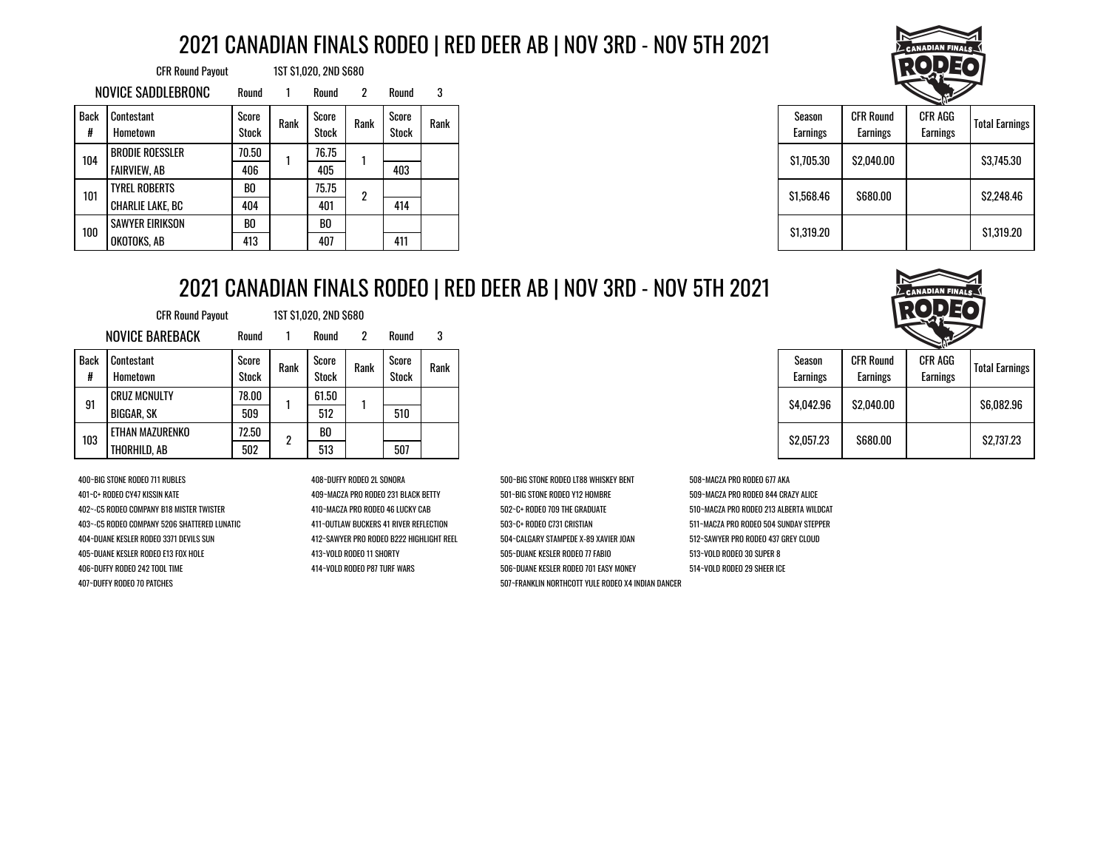|                  | <b>CFR Round Payout</b> |                       |      | 1ST \$1,020, 2ND \$680 |                      |                       |      |
|------------------|-------------------------|-----------------------|------|------------------------|----------------------|-----------------------|------|
|                  | NOVICE SADDLEBRONC      | Round                 |      | Round                  | $\mathbf{2}^{\circ}$ | Round                 | 3    |
| <b>Back</b><br># | Contestant<br>Hometown  | Score<br><b>Stock</b> | Rank | Score<br>Stock         | Rank                 | Score<br><b>Stock</b> | Rank |
| 104<br>101       | <b>BRODIE ROESSLER</b>  | 70.50                 |      | 76.75                  |                      |                       |      |
|                  | <b>FAIRVIEW, AB</b>     | 406                   |      | 405                    |                      | 403                   |      |
|                  | <b>TYREL ROBERTS</b>    | BO                    |      | 75.75                  | 2                    |                       |      |
|                  | CHARLIE LAKE, BC        | 404                   |      | 401                    |                      | 414                   |      |
| 100              | <b>SAWYER EIRIKSON</b>  | B <sub>0</sub>        |      | BO                     |                      |                       |      |
|                  | OKOTOKS, AB             | 413                   |      | 407                    |                      | 411                   |      |



|                           |                                     | こい                         |                       |  |  |
|---------------------------|-------------------------------------|----------------------------|-----------------------|--|--|
| Season<br><b>Earnings</b> | <b>CFR Round</b><br><b>Earnings</b> | CFR AGG<br><b>Earnings</b> | <b>Total Earnings</b> |  |  |
| \$1,705.30                | \$2.040.00                          |                            | \$3.745.30            |  |  |
| \$1,568.46                | \$680.00                            |                            | \$2.248.46            |  |  |
| \$1.319.20                |                                     |                            | \$1,319.20            |  |  |

### 2021 CANADIAN FINALS RODEO | RED DEER AB | NOV 3RD - NOV 5TH 2021

|                  | <b>CFR Round Payout</b> |                |            | 1ST \$1,020, 2ND \$680 |      |                |      |
|------------------|-------------------------|----------------|------------|------------------------|------|----------------|------|
|                  | <b>NOVICE BAREBACK</b>  | Round          |            | Round                  | 2    | Round          | 3    |
| <b>Back</b><br># | Contestant<br>Hometown  | Score<br>Stock | Rank       | Score<br>Stock         | Rank | Score<br>Stock | Rank |
| 91               | <b>CRUZ MCNULTY</b>     | 78.00          |            | 61.50                  |      |                |      |
|                  | BIGGAR, SK              | 509            |            | 512                    |      | 510            |      |
| 103              | ETHAN MAZURENKO         | 72.50          |            | B <sub>0</sub>         |      |                |      |
|                  | THORHILD, AB            | 502            | 507<br>513 |                        |      |                |      |

400~BIG STONE RODEO 711 RUBLES 408~DUFFY RODEO 2L SONORA 500~BIG STONE RODEO LT88 WHISKEY BENT 508~MACZA PRO RODEO 677 AKA 401~C+ RODEO CY47 KISSIN KATE 409~MACZA PRO RODEO 231 BLACK BETTY 501~BIG STONE RODEO Y12 HOMBRE 509~MACZA PRO RODEO 844 CRAZY ALICE 402~-C5 RODEO COMPANY B18 MISTER TWISTER 410~MACZA PRO RODEO 46 LUCKY CAB 502~C+ RODE0 709 THE GRADUATE 510~MACZA PRO RODEO 213 ALBERTA WILDCAT 403~-C5 RODEO COMPANY 5206 SHATTERED LUNATIC 411~OUTLAW BUCKERS 41 RIVER REFLECTION 503~C+ RODEO C731 CRISTIAN 511~MACZA PRO RODEO 504 SUNDAY STEPPER 404~DUANE KESLER RODEO 3371 DEVILS SUN 412~SAWYER PRO RODEO B222 HIGHLIGHT REEL 504~CALGARY STAMPEDE X-89 XAVIER JOAN 512~SAWYER PRO RODEO 437 GREY CLOUD 405~DUANE KESLER RODEO E13 FOX HOLE 413~VOLD RODEO 11 SHORTY 505~DUANE KESLER RODEO 77 FABIO 513~VOLD RODEO 30 SUPER 8 406~DUFFY RODEO 242 TOOL TIME 414~VOLD RODEO P87 TURF WARS 506~DUANE KESLER RODEO 701 EASY MONEY 514~VOLD RODEO 29 SHEER ICE 407~DUFFY RODEO 70 PATCHES 507~FRANKLIN NORTHCOTT YULE RODEO X4 INDIAN DANCER

| Season<br>Earnings | <b>CFR Round</b><br>Earnings | CFR AGG<br><b>Earnings</b> | <b>Total Earnings</b> |  |  |
|--------------------|------------------------------|----------------------------|-----------------------|--|--|
| S4.042.96          | \$2.040.00                   |                            | \$6.082.96            |  |  |
| \$2,057.23         | \$680.00                     |                            | \$2.737.23            |  |  |